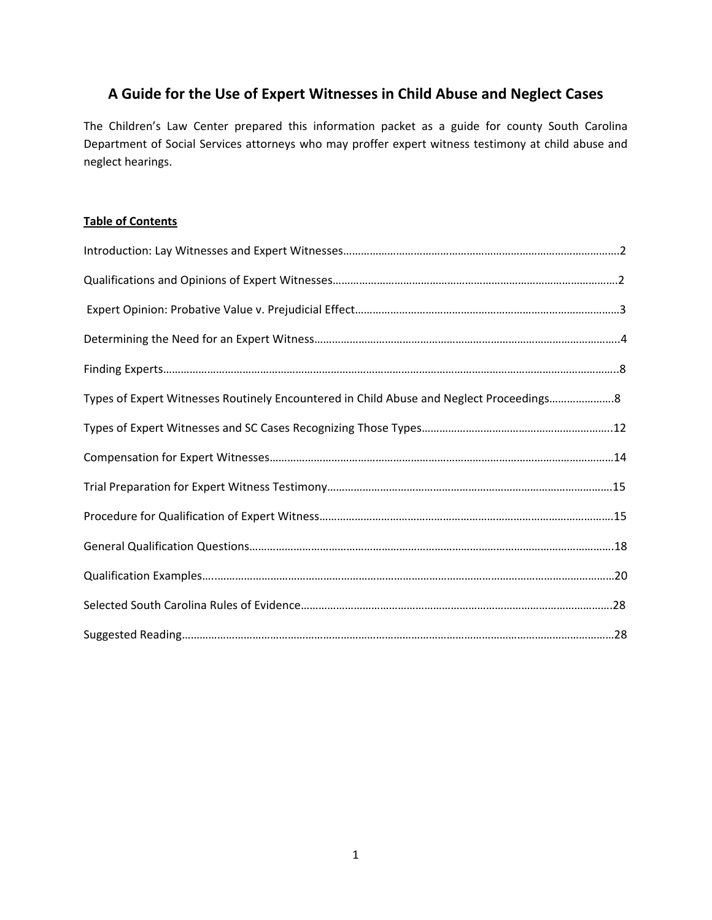# **A Guide for the Use of Expert Witnesses in Child Abuse and Neglect Cases**

The Children's Law Center prepared this information packet as a guide for county South Carolina Department of Social Services attorneys who may proffer expert witness testimony at child abuse and neglect hearings.

# **Table of Contents**

| Types of Expert Witnesses Routinely Encountered in Child Abuse and Neglect Proceedings8 |  |
|-----------------------------------------------------------------------------------------|--|
|                                                                                         |  |
|                                                                                         |  |
|                                                                                         |  |
|                                                                                         |  |
|                                                                                         |  |
|                                                                                         |  |
|                                                                                         |  |
|                                                                                         |  |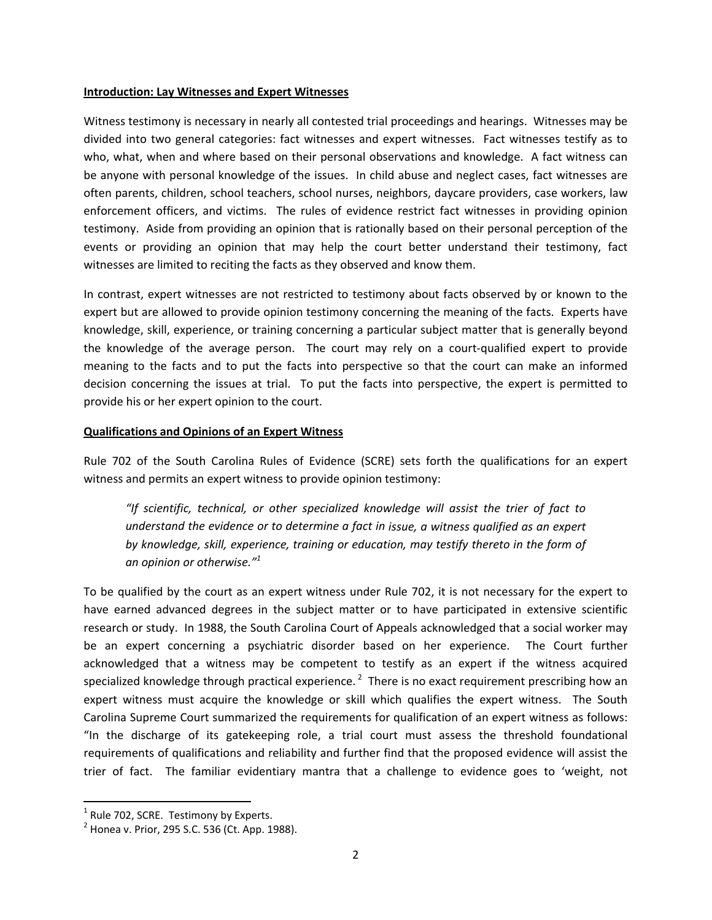#### **Introduction: Lay Witnesses and Expert Witnesses**

Witness testimony is necessary in nearly all contested trial proceedings and hearings. Witnesses may be divided into two general categories: fact witnesses and expert witnesses. Fact witnesses testify as to who, what, when and where based on their personal observations and knowledge. A fact witness can be anyone with personal knowledge of the issues. In child abuse and neglect cases, fact witnesses are often parents, children, school teachers, school nurses, neighbors, daycare providers, case workers, law enforcement officers, and victims. The rules of evidence restrict fact witnesses in providing opinion testimony. Aside from providing an opinion that is rationally based on their personal perception of the events or providing an opinion that may help the court better understand their testimony, fact witnesses are limited to reciting the facts as they observed and know them.

In contrast, expert witnesses are not restricted to testimony about facts observed by or known to the expert but are allowed to provide opinion testimony concerning the meaning of the facts. Experts have knowledge, skill, experience, or training concerning a particular subject matter that is generally beyond the knowledge of the average person. The court may rely on a court-qualified expert to provide meaning to the facts and to put the facts into perspective so that the court can make an informed decision concerning the issues at trial. To put the facts into perspective, the expert is permitted to provide his or her expert opinion to the court.

### **Qualifications and Opinions of an Expert Witness**

Rule 702 of the South Carolina Rules of Evidence (SCRE) sets forth the qualifications for an expert witness and permits an expert witness to provide opinion testimony:

*"If scientific, technical, or other specialized knowledge will assist the trier of fact to understand the evidence or to determine a fact in issue, a witness qualified as an expert by knowledge, skill, experience, training or education, may testify thereto in the form of an opinion or otherwise."<sup>1</sup>*

To be qualified by the court as an expert witness under Rule 702, it is not necessary for the expert to have earned advanced degrees in the subject matter or to have participated in extensive scientific research or study. In 1988, the South Carolina Court of Appeals acknowledged that a social worker may be an expert concerning a psychiatric disorder based on her experience. The Court further acknowledged that a witness may be competent to testify as an expert if the witness acquired specialized knowledge through practical experience.  $^2$  There is no exact requirement prescribing how an expert witness must acquire the knowledge or skill which qualifies the expert witness. The South Carolina Supreme Court summarized the requirements for qualification of an expert witness as follows: "In the discharge of its gatekeeping role, a trial court must assess the threshold foundational requirements of qualifications and reliability and further find that the proposed evidence will assist the trier of fact. The familiar evidentiary mantra that a challenge to evidence goes to 'weight, not

<sup>&</sup>lt;sup>1</sup> Rule 702, SCRE. Testimony by Experts.

 $1<sup>2</sup>$  Honea v. Prior, 295 S.C. 536 (Ct. App. 1988).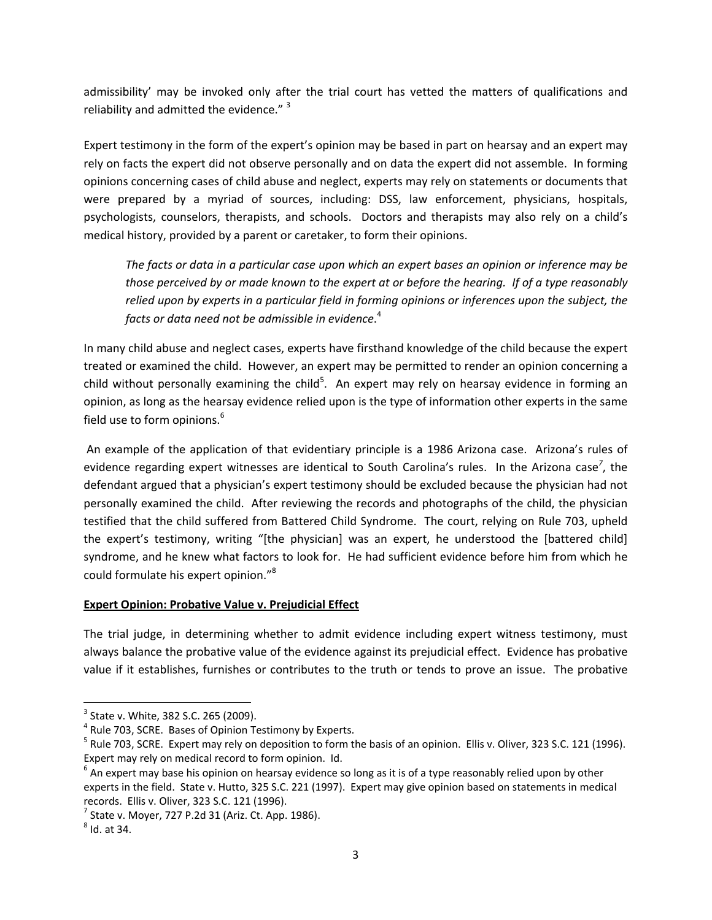admissibility' may be invoked only after the trial court has vetted the matters of qualifications and reliability and admitted the evidence."<sup>3</sup>

Expert testimony in the form of the expert's opinion may be based in part on hearsay and an expert may rely on facts the expert did not observe personally and on data the expert did not assemble. In forming opinions concerning cases of child abuse and neglect, experts may rely on statements or documents that were prepared by a myriad of sources, including: DSS, law enforcement, physicians, hospitals, psychologists, counselors, therapists, and schools. Doctors and therapists may also rely on a child's medical history, provided by a parent or caretaker, to form their opinions.

The facts or data in a particular case upon which an expert bases an opinion or inference may be those perceived by or made known to the expert at or before the hearing. If of a type reasonably *relied upon by experts in a particular field in forming opinions or inferences upon the subject, the facts or data need not be admissible in evidence*. 4

In many child abuse and neglect cases, experts have firsthand knowledge of the child because the expert treated or examined the child. However, an expert may be permitted to render an opinion concerning a child without personally examining the child<sup>5</sup>. An expert may rely on hearsay evidence in forming an opinion, as long as the hearsay evidence relied upon is the type of information other experts in the same field use to form opinions.<sup>6</sup>

An example of the application of that evidentiary principle is a 1986 Arizona case. Arizona's rules of evidence regarding expert witnesses are identical to South Carolina's rules. In the Arizona case<sup>7</sup>, the defendant argued that a physician's expert testimony should be excluded because the physician had not personally examined the child. After reviewing the records and photographs of the child, the physician testified that the child suffered from Battered Child Syndrome. The court, relying on Rule 703, upheld the expert's testimony, writing "[the physician] was an expert, he understood the [battered child] syndrome, and he knew what factors to look for. He had sufficient evidence before him from which he could formulate his expert opinion."<sup>8</sup>

### **Expert Opinion: Probative Value v. Prejudicial Effect**

The trial judge, in determining whether to admit evidence including expert witness testimony, must always balance the probative value of the evidence against its prejudicial effect. Evidence has probative value if it establishes, furnishes or contributes to the truth or tends to prove an issue. The probative

 $3$  State v. White, 382 S.C. 265 (2009).<br><sup>4</sup> Rule 703, SCRE. Bases of Opinion Testimony by Experts.<br><sup>5</sup> Rule 703, SCRE. Expert may rely on deposition to form the basis of an opinion. Ellis v. Oliver, 323 S.C. 121 (1996). Expert may rely on medical record to form opinion. Id.<br>
<sup>6</sup> An expert may base his opinion on hearsay evidence so long as it is of a type reasonably relied upon by other

experts in the field. State v. Hutto, 325 S.C. 221 (1997). Expert may give opinion based on statements in medical records. Ellis v. Oliver, 323 S.C. 121 (1996).<br><sup>7</sup> State v. Moyer, 727 P.2d 31 (Ariz. Ct. App. 1986).<br><sup>8</sup> Id. at 34.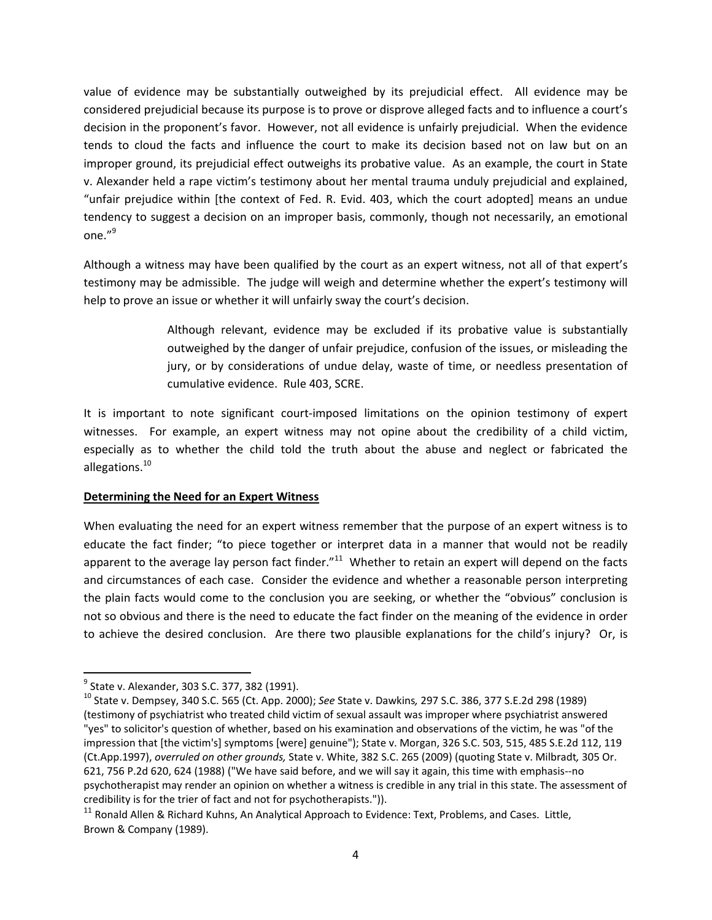value of evidence may be substantially outweighed by its prejudicial effect. All evidence may be considered prejudicial because its purpose is to prove or disprove alleged facts and to influence a court's decision in the proponent's favor. However, not all evidence is unfairly prejudicial. When the evidence tends to cloud the facts and influence the court to make its decision based not on law but on an improper ground, its prejudicial effect outweighs its probative value. As an example, the court in State v. Alexander held a rape victim's testimony about her mental trauma unduly prejudicial and explained, "unfair prejudice within [the context of Fed. R. Evid. 403, which the court adopted] means an undue tendency to suggest a decision on an improper basis, commonly, though not necessarily, an emotional one."<sup>9</sup>

Although a witness may have been qualified by the court as an expert witness, not all of that expert's testimony may be admissible. The judge will weigh and determine whether the expert's testimony will help to prove an issue or whether it will unfairly sway the court's decision.

> Although relevant, evidence may be excluded if its probative value is substantially outweighed by the danger of unfair prejudice, confusion of the issues, or misleading the jury, or by considerations of undue delay, waste of time, or needless presentation of cumulative evidence. Rule 403, SCRE.

It is important to note significant court‐imposed limitations on the opinion testimony of expert witnesses. For example, an expert witness may not opine about the credibility of a child victim, especially as to whether the child told the truth about the abuse and neglect or fabricated the allegations.<sup>10</sup>

### **Determining the Need for an Expert Witness**

When evaluating the need for an expert witness remember that the purpose of an expert witness is to educate the fact finder; "to piece together or interpret data in a manner that would not be readily apparent to the average lay person fact finder."<sup>11</sup> Whether to retain an expert will depend on the facts and circumstances of each case. Consider the evidence and whether a reasonable person interpreting the plain facts would come to the conclusion you are seeking, or whether the "obvious" conclusion is not so obvious and there is the need to educate the fact finder on the meaning of the evidence in order to achieve the desired conclusion. Are there two plausible explanations for the child's injury? Or, is

<sup>&</sup>lt;sup>9</sup> State v. Alexander, 303 S.C. 377, 382 (1991).<br><sup>10</sup> State v. Dempsey, 340 S.C. 565 (Ct. App. 2000); *See* State v. Dawkins, 297 S.C. 386, 377 S.E.2d 298 (1989) (testimony of psychiatrist who treated child victim of sexual assault was improper where psychiatrist answered "yes" to solicitor's question of whether, based on his examination and observations of the victim, he was "of the impression that [the victim's] symptoms [were] genuine"); State v. Morgan, 326 S.C. 503, 515, 485 S.E.2d 112, 119 (Ct.App.1997), *overruled on other grounds,* State v. White, 382 S.C. 265 (2009) (quoting State v. Milbradt*,* 305 Or. 621, 756 P.2d 620, 624 (1988) ("We have said before, and we will say it again, this time with emphasis‐‐no psychotherapist may render an opinion on whether a witness is credible in any trial in this state. The assessment of credibility is for the trier of fact and not for psychotherapists.")).

<sup>&</sup>lt;sup>11</sup> Ronald Allen & Richard Kuhns, An Analytical Approach to Evidence: Text, Problems, and Cases. Little, Brown & Company (1989).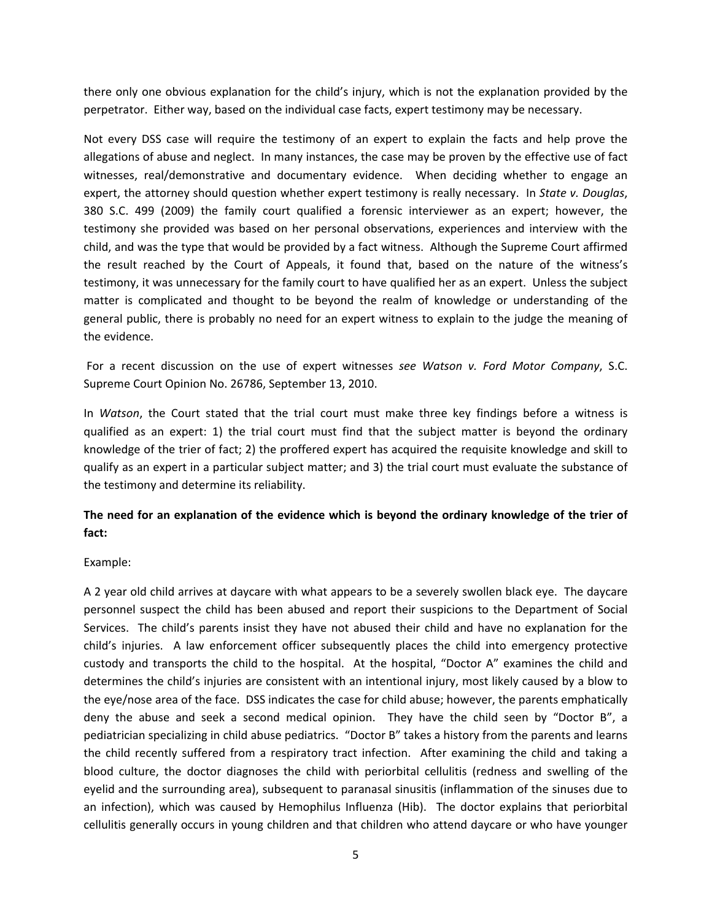there only one obvious explanation for the child's injury, which is not the explanation provided by the perpetrator. Either way, based on the individual case facts, expert testimony may be necessary.

Not every DSS case will require the testimony of an expert to explain the facts and help prove the allegations of abuse and neglect. In many instances, the case may be proven by the effective use of fact witnesses, real/demonstrative and documentary evidence. When deciding whether to engage an expert, the attorney should question whether expert testimony is really necessary. In *State v. Douglas*, 380 S.C. 499 (2009) the family court qualified a forensic interviewer as an expert; however, the testimony she provided was based on her personal observations, experiences and interview with the child, and was the type that would be provided by a fact witness. Although the Supreme Court affirmed the result reached by the Court of Appeals, it found that, based on the nature of the witness's testimony, it was unnecessary for the family court to have qualified her as an expert. Unless the subject matter is complicated and thought to be beyond the realm of knowledge or understanding of the general public, there is probably no need for an expert witness to explain to the judge the meaning of the evidence.

For a recent discussion on the use of expert witnesses *see Watson v. Ford Motor Company*, S.C. Supreme Court Opinion No. 26786, September 13, 2010.

In *Watson*, the Court stated that the trial court must make three key findings before a witness is qualified as an expert: 1) the trial court must find that the subject matter is beyond the ordinary knowledge of the trier of fact; 2) the proffered expert has acquired the requisite knowledge and skill to qualify as an expert in a particular subject matter; and 3) the trial court must evaluate the substance of the testimony and determine its reliability.

# **The need for an explanation of the evidence which is beyond the ordinary knowledge of the trier of fact:**

### Example:

A 2 year old child arrives at daycare with what appears to be a severely swollen black eye. The daycare personnel suspect the child has been abused and report their suspicions to the Department of Social Services. The child's parents insist they have not abused their child and have no explanation for the child's injuries. A law enforcement officer subsequently places the child into emergency protective custody and transports the child to the hospital. At the hospital, "Doctor A" examines the child and determines the child's injuries are consistent with an intentional injury, most likely caused by a blow to the eye/nose area of the face. DSS indicates the case for child abuse; however, the parents emphatically deny the abuse and seek a second medical opinion. They have the child seen by "Doctor B", a pediatrician specializing in child abuse pediatrics. "Doctor B" takes a history from the parents and learns the child recently suffered from a respiratory tract infection. After examining the child and taking a blood culture, the doctor diagnoses the child with periorbital cellulitis (redness and swelling of the eyelid and the surrounding area), subsequent to paranasal sinusitis (inflammation of the sinuses due to an infection), which was caused by Hemophilus Influenza (Hib). The doctor explains that periorbital cellulitis generally occurs in young children and that children who attend daycare or who have younger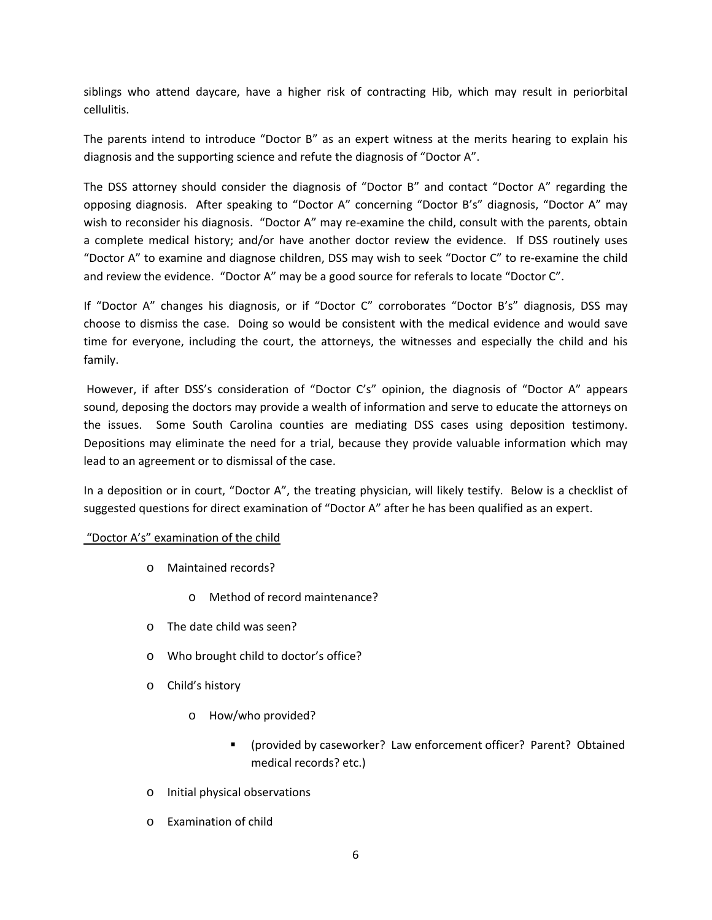siblings who attend daycare, have a higher risk of contracting Hib, which may result in periorbital cellulitis.

The parents intend to introduce "Doctor B" as an expert witness at the merits hearing to explain his diagnosis and the supporting science and refute the diagnosis of "Doctor A".

The DSS attorney should consider the diagnosis of "Doctor B" and contact "Doctor A" regarding the opposing diagnosis. After speaking to "Doctor A" concerning "Doctor B's" diagnosis, "Doctor A" may wish to reconsider his diagnosis. "Doctor A" may re-examine the child, consult with the parents, obtain a complete medical history; and/or have another doctor review the evidence. If DSS routinely uses "Doctor A" to examine and diagnose children, DSS may wish to seek "Doctor C" to re‐examine the child and review the evidence. "Doctor A" may be a good source for referals to locate "Doctor C".

If "Doctor A" changes his diagnosis, or if "Doctor C" corroborates "Doctor B's" diagnosis, DSS may choose to dismiss the case. Doing so would be consistent with the medical evidence and would save time for everyone, including the court, the attorneys, the witnesses and especially the child and his family.

However, if after DSS's consideration of "Doctor C's" opinion, the diagnosis of "Doctor A" appears sound, deposing the doctors may provide a wealth of information and serve to educate the attorneys on the issues. Some South Carolina counties are mediating DSS cases using deposition testimony. Depositions may eliminate the need for a trial, because they provide valuable information which may lead to an agreement or to dismissal of the case.

In a deposition or in court, "Doctor A", the treating physician, will likely testify. Below is a checklist of suggested questions for direct examination of "Doctor A" after he has been qualified as an expert.

### "Doctor A's" examination of the child

- o Maintained records?
	- Method of record maintenance?
- o The date child was seen?
- o Who brought child to doctor's office?
- o Child's history
	- o How/who provided?
		- (provided by caseworker? Law enforcement officer? Parent? Obtained medical records? etc.)
- o Initial physical observations
- o Examination of child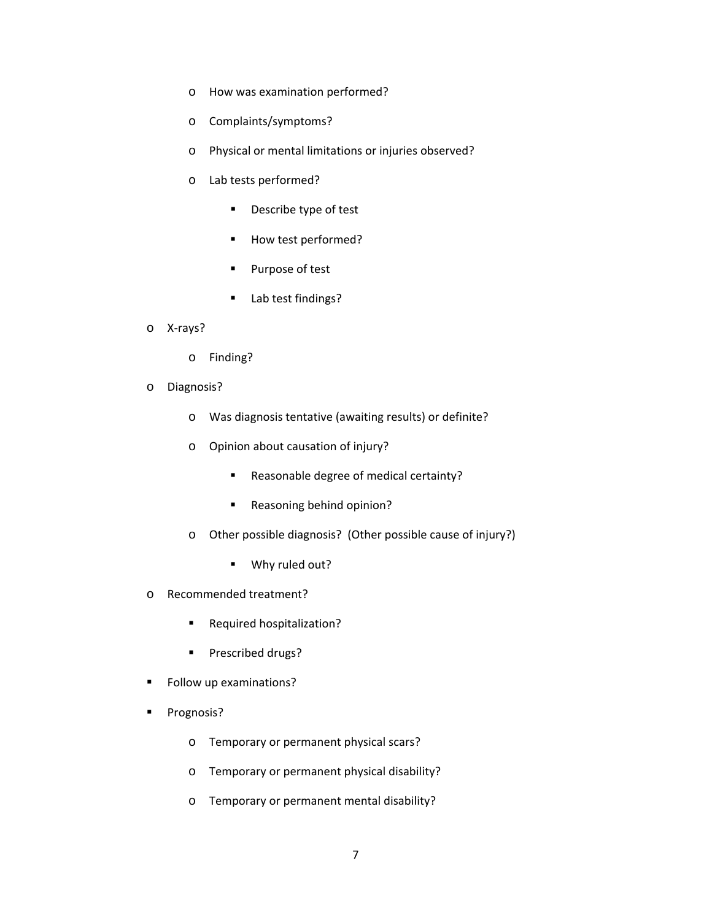- o How was examination performed?
- o Complaints/symptoms?
- o Physical or mental limitations or injuries observed?
- o Lab tests performed?
	- **Describe type of test**
	- How test performed?
	- **Purpose of test**
	- **Lab test findings?**
- o X‐rays?
	- o Finding?
- o Diagnosis?
	- o Was diagnosis tentative (awaiting results) or definite?
	- o Opinion about causation of injury?
		- Reasonable degree of medical certainty?
		- Reasoning behind opinion?
	- o Other possible diagnosis? (Other possible cause of injury?)
		- Why ruled out?
- o Recommended treatment?
	- **Required hospitalization?**
	- **Prescribed drugs?**
- **Follow up examinations?**
- **Prognosis?** 
	- o Temporary or permanent physical scars?
	- o Temporary or permanent physical disability?
	- o Temporary or permanent mental disability?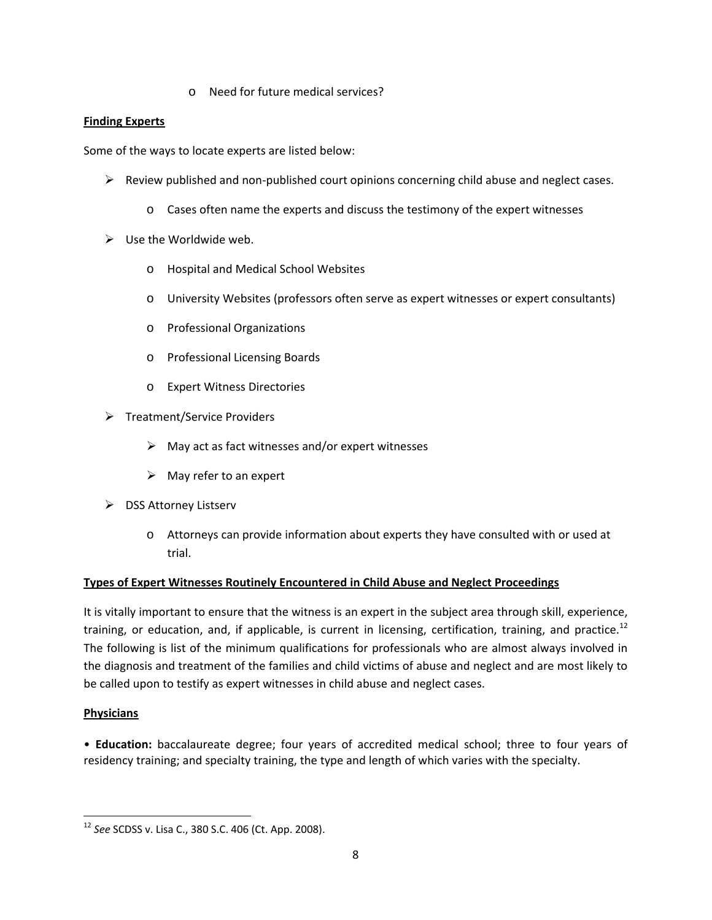o Need for future medical services?

# **Finding Experts**

Some of the ways to locate experts are listed below:

- $\triangleright$  Review published and non-published court opinions concerning child abuse and neglect cases.
	- o Cases often name the experts and discuss the testimony of the expert witnesses
- $\triangleright$  Use the Worldwide web.
	- o Hospital and Medical School Websites
	- o University Websites (professors often serve as expert witnesses or expert consultants)
	- o Professional Organizations
	- o Professional Licensing Boards
	- o Expert Witness Directories
- Treatment/Service Providers
	- $\triangleright$  May act as fact witnesses and/or expert witnesses
	- $\triangleright$  May refer to an expert
- $\triangleright$  DSS Attorney Listserv
	- o Attorneys can provide information about experts they have consulted with or used at trial.

### **Types of Expert Witnesses Routinely Encountered in Child Abuse and Neglect Proceedings**

It is vitally important to ensure that the witness is an expert in the subject area through skill, experience, training, or education, and, if applicable, is current in licensing, certification, training, and practice.<sup>12</sup> The following is list of the minimum qualifications for professionals who are almost always involved in the diagnosis and treatment of the families and child victims of abuse and neglect and are most likely to be called upon to testify as expert witnesses in child abuse and neglect cases.

### **Physicians**

• **Education:** baccalaureate degree; four years of accredited medical school; three to four years of residency training; and specialty training, the type and length of which varies with the specialty.

<sup>12</sup> *See* SCDSS v. Lisa C., 380 S.C. 406 (Ct. App. 2008).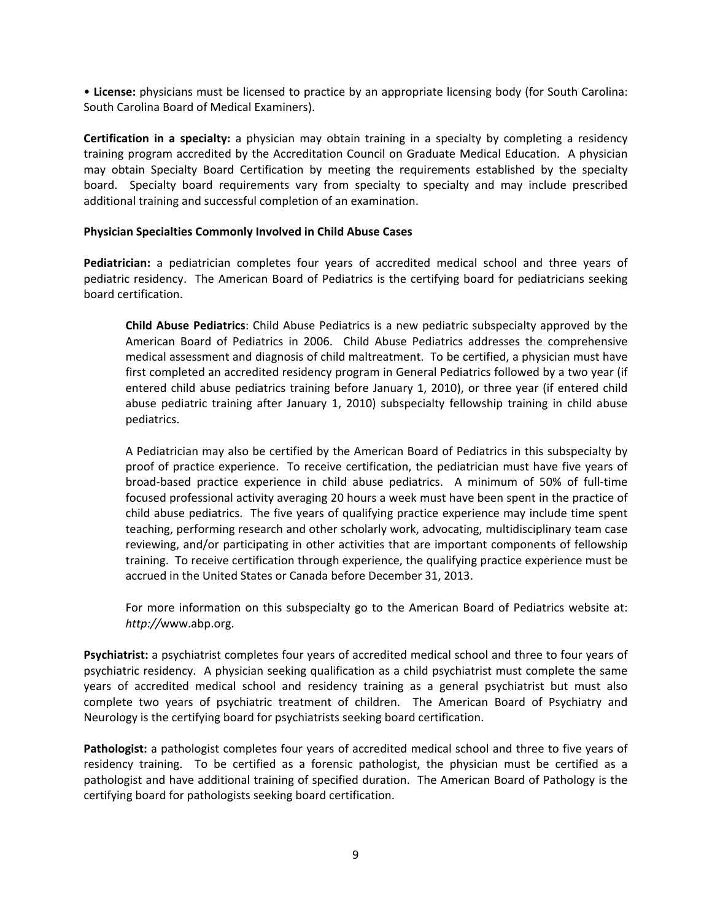• **License:** physicians must be licensed to practice by an appropriate licensing body (for South Carolina: South Carolina Board of Medical Examiners).

**Certification in a specialty:** a physician may obtain training in a specialty by completing a residency training program accredited by the Accreditation Council on Graduate Medical Education. A physician may obtain Specialty Board Certification by meeting the requirements established by the specialty board. Specialty board requirements vary from specialty to specialty and may include prescribed additional training and successful completion of an examination.

### **Physician Specialties Commonly Involved in Child Abuse Cases**

**Pediatrician:** a pediatrician completes four years of accredited medical school and three years of pediatric residency. The American Board of Pediatrics is the certifying board for pediatricians seeking board certification.

**Child Abuse Pediatrics**: Child Abuse Pediatrics is a new pediatric subspecialty approved by the American Board of Pediatrics in 2006. Child Abuse Pediatrics addresses the comprehensive medical assessment and diagnosis of child maltreatment. To be certified, a physician must have first completed an accredited residency program in General Pediatrics followed by a two year (if entered child abuse pediatrics training before January 1, 2010), or three year (if entered child abuse pediatric training after January 1, 2010) subspecialty fellowship training in child abuse pediatrics.

A Pediatrician may also be certified by the American Board of Pediatrics in this subspecialty by proof of practice experience. To receive certification, the pediatrician must have five years of broad‐based practice experience in child abuse pediatrics. A minimum of 50% of full‐time focused professional activity averaging 20 hours a week must have been spent in the practice of child abuse pediatrics. The five years of qualifying practice experience may include time spent teaching, performing research and other scholarly work, advocating, multidisciplinary team case reviewing, and/or participating in other activities that are important components of fellowship training. To receive certification through experience, the qualifying practice experience must be accrued in the United States or Canada before December 31, 2013.

For more information on this subspecialty go to the American Board of Pediatrics website at: *http://*www.abp.org.

**Psychiatrist:** a psychiatrist completes four years of accredited medical school and three to four years of psychiatric residency. A physician seeking qualification as a child psychiatrist must complete the same years of accredited medical school and residency training as a general psychiatrist but must also complete two years of psychiatric treatment of children. The American Board of Psychiatry and Neurology is the certifying board for psychiatrists seeking board certification.

**Pathologist:** a pathologist completes four years of accredited medical school and three to five years of residency training. To be certified as a forensic pathologist, the physician must be certified as a pathologist and have additional training of specified duration. The American Board of Pathology is the certifying board for pathologists seeking board certification.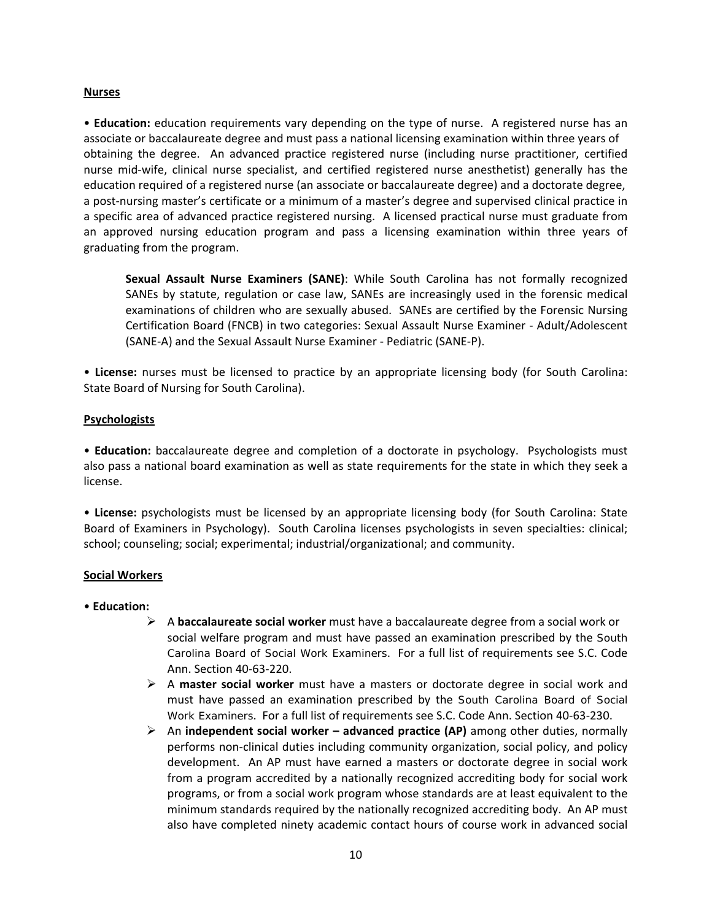#### **Nurses**

• **Education:** education requirements vary depending on the type of nurse. A registered nurse has an associate or baccalaureate degree and must pass a national licensing examination within three years of obtaining the degree. An advanced practice registered nurse (including nurse practitioner, certified nurse mid‐wife, clinical nurse specialist, and certified registered nurse anesthetist) generally has the education required of a registered nurse (an associate or baccalaureate degree) and a doctorate degree, a post‐nursing master's certificate or a minimum of a master's degree and supervised clinical practice in a specific area of advanced practice registered nursing. A licensed practical nurse must graduate from an approved nursing education program and pass a licensing examination within three years of graduating from the program.

**Sexual Assault Nurse Examiners (SANE)**: While South Carolina has not formally recognized SANEs by statute, regulation or case law, SANEs are increasingly used in the forensic medical examinations of children who are sexually abused. SANEs are certified by the Forensic Nursing Certification Board (FNCB) in two categories: Sexual Assault Nurse Examiner ‐ Adult/Adolescent (SANE‐A) and the Sexual Assault Nurse Examiner ‐ Pediatric (SANE‐P).

• **License:** nurses must be licensed to practice by an appropriate licensing body (for South Carolina: State Board of Nursing for South Carolina).

### **Psychologists**

• **Education:** baccalaureate degree and completion of a doctorate in psychology. Psychologists must also pass a national board examination as well as state requirements for the state in which they seek a license.

• **License:** psychologists must be licensed by an appropriate licensing body (for South Carolina: State Board of Examiners in Psychology). South Carolina licenses psychologists in seven specialties: clinical; school; counseling; social; experimental; industrial/organizational; and community.

### **Social Workers**

### • **Education:**

- A **baccalaureate social worker** must have a baccalaureate degree from a social work or social welfare program and must have passed an examination prescribed by the South Carolina Board of Social Work Examiners. For a full list of requirements see S.C. Code Ann. Section 40‐63‐220.
- A **master social worker** must have a masters or doctorate degree in social work and must have passed an examination prescribed by the South Carolina Board of Social Work Examiners. For a full list of requirements see S.C. Code Ann. Section 40‐63‐230.
- An **independent social worker – advanced practice (AP)** among other duties, normally performs non-clinical duties including community organization, social policy, and policy development. An AP must have earned a masters or doctorate degree in social work from a program accredited by a nationally recognized accrediting body for social work programs, or from a social work program whose standards are at least equivalent to the minimum standards required by the nationally recognized accrediting body. An AP must also have completed ninety academic contact hours of course work in advanced social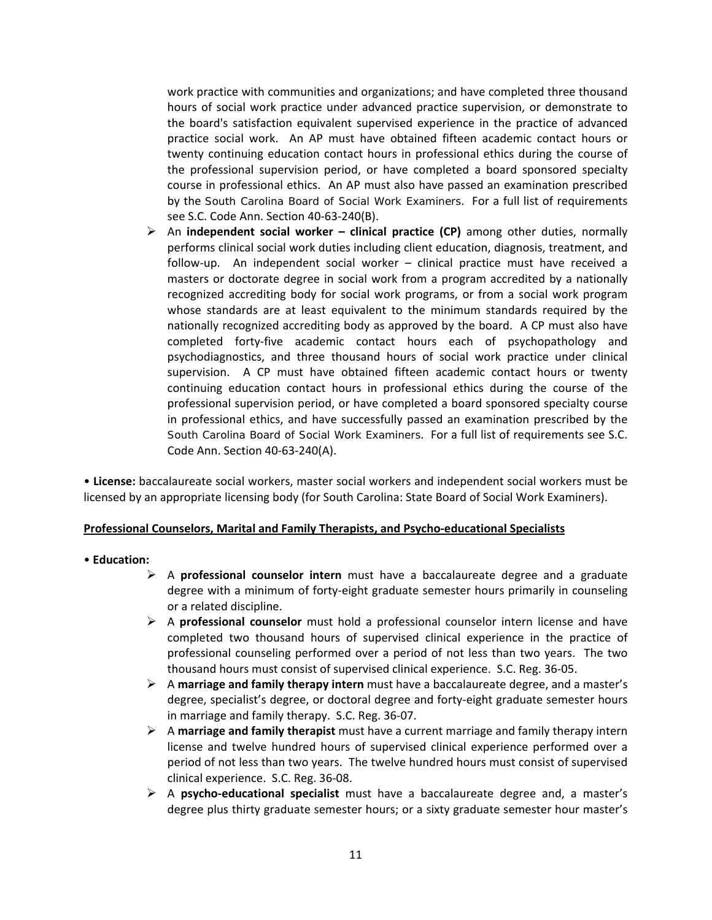work practice with communities and organizations; and have completed three thousand hours of social work practice under advanced practice supervision, or demonstrate to the board's satisfaction equivalent supervised experience in the practice of advanced practice social work. An AP must have obtained fifteen academic contact hours or twenty continuing education contact hours in professional ethics during the course of the professional supervision period, or have completed a board sponsored specialty course in professional ethics. An AP must also have passed an examination prescribed by the South Carolina Board of Social Work Examiners. For a full list of requirements see S.C. Code Ann. Section 40‐63‐240(B).

 An **independent social worker – clinical practice (CP)** among other duties, normally performs clinical social work duties including client education, diagnosis, treatment, and follow-up. An independent social worker – clinical practice must have received a masters or doctorate degree in social work from a program accredited by a nationally recognized accrediting body for social work programs, or from a social work program whose standards are at least equivalent to the minimum standards required by the nationally recognized accrediting body as approved by the board. A CP must also have completed forty‐five academic contact hours each of psychopathology and psychodiagnostics, and three thousand hours of social work practice under clinical supervision. A CP must have obtained fifteen academic contact hours or twenty continuing education contact hours in professional ethics during the course of the professional supervision period, or have completed a board sponsored specialty course in professional ethics, and have successfully passed an examination prescribed by the South Carolina Board of Social Work Examiners. For a full list of requirements see S.C. Code Ann. Section 40‐63‐240(A).

• **License:** baccalaureate social workers, master social workers and independent social workers must be licensed by an appropriate licensing body (for South Carolina: State Board of Social Work Examiners).

#### **Professional Counselors, Marital and Family Therapists, and Psycho‐educational Specialists**

#### • **Education:**

- A **professional counselor intern** must have a baccalaureate degree and a graduate degree with a minimum of forty‐eight graduate semester hours primarily in counseling or a related discipline.
- A **professional counselor** must hold a professional counselor intern license and have completed two thousand hours of supervised clinical experience in the practice of professional counseling performed over a period of not less than two years. The two thousand hours must consist of supervised clinical experience. S.C. Reg. 36‐05.
- A **marriage and family therapy intern** must have a baccalaureate degree, and a master's degree, specialist's degree, or doctoral degree and forty‐eight graduate semester hours in marriage and family therapy. S.C. Reg. 36‐07.
- A **marriage and family therapist** must have a current marriage and family therapy intern license and twelve hundred hours of supervised clinical experience performed over a period of not less than two years. The twelve hundred hours must consist of supervised clinical experience. S.C. Reg. 36‐08.
- A **psycho‐educational specialist** must have a baccalaureate degree and, a master's degree plus thirty graduate semester hours; or a sixty graduate semester hour master's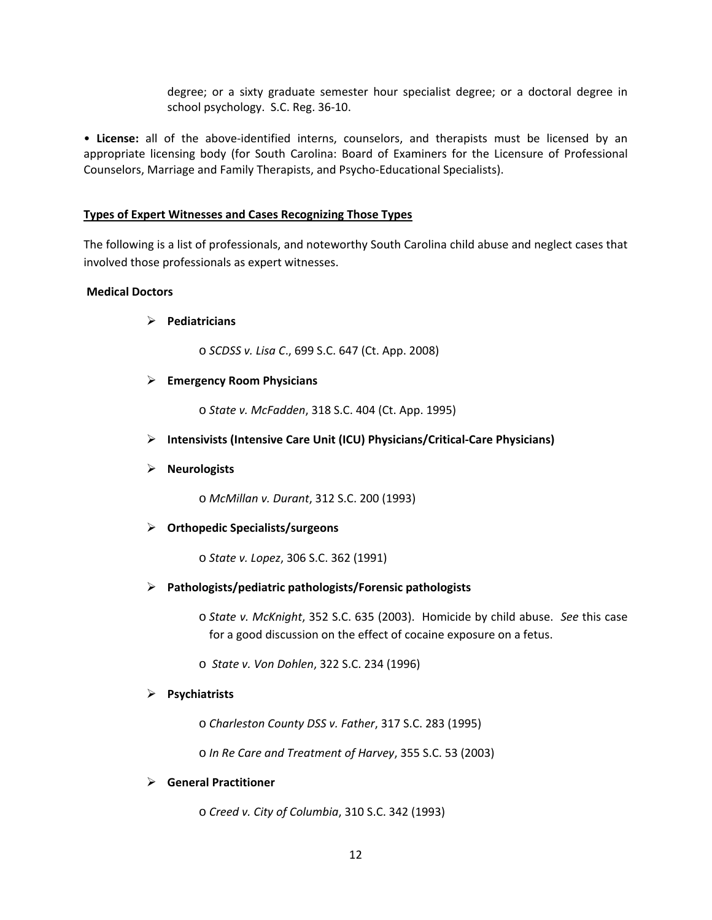degree; or a sixty graduate semester hour specialist degree; or a doctoral degree in school psychology. S.C. Reg. 36‐10.

• **License:** all of the above‐identified interns, counselors, and therapists must be licensed by an appropriate licensing body (for South Carolina: Board of Examiners for the Licensure of Professional Counselors, Marriage and Family Therapists, and Psycho‐Educational Specialists).

### **Types of Expert Witnesses and Cases Recognizing Those Types**

The following is a list of professionals, and noteworthy South Carolina child abuse and neglect cases that involved those professionals as expert witnesses.

### **Medical Doctors**

### **Pediatricians**

o *SCDSS v. Lisa C*., 699 S.C. 647 (Ct. App. 2008)

### **Emergency Room Physicians**

o *State v. McFadden*, 318 S.C. 404 (Ct. App. 1995)

**Intensivists (Intensive Care Unit (ICU) Physicians/Critical‐Care Physicians)**

### **Neurologists**

o *McMillan v. Durant*, 312 S.C. 200 (1993)

### **Orthopedic Specialists/surgeons**

o *State v. Lopez*, 306 S.C. 362 (1991)

#### **Pathologists/pediatric pathologists/Forensic pathologists**

o *State v. McKnight*, 352 S.C. 635 (2003). Homicide by child abuse. *See* this case for a good discussion on the effect of cocaine exposure on a fetus.

o *State v. Von Dohlen*, 322 S.C. 234 (1996)

#### **Psychiatrists**

o *Charleston County DSS v. Father*, 317 S.C. 283 (1995)

o *In Re Care and Treatment of Harvey*, 355 S.C. 53 (2003)

### **General Practitioner**

o *Creed v. City of Columbia*, 310 S.C. 342 (1993)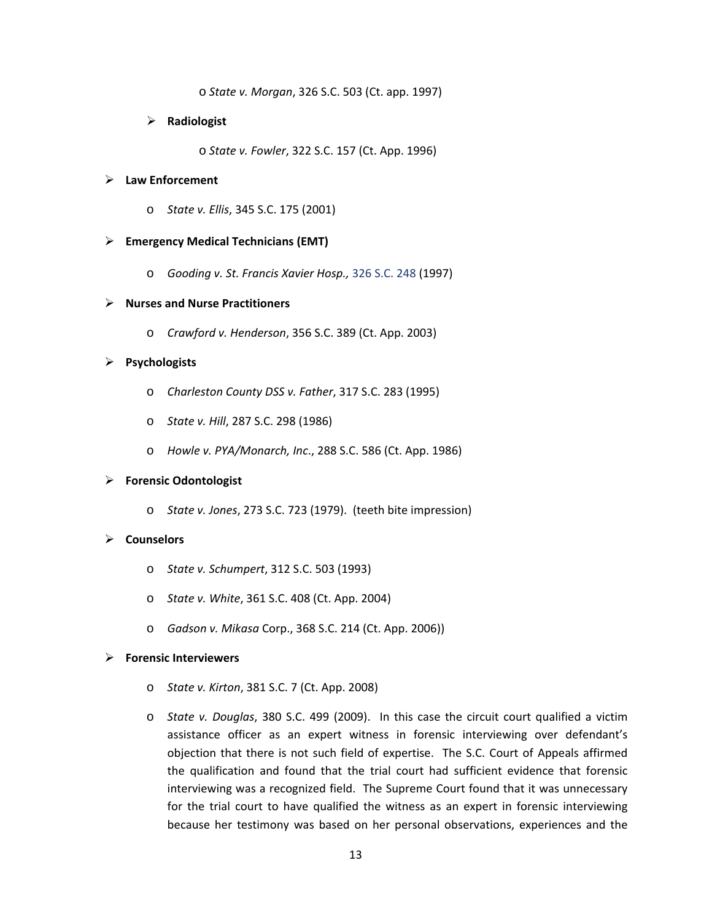o *State v. Morgan*, 326 S.C. 503 (Ct. app. 1997)

#### **Radiologist**

o *State v. Fowler*, 322 S.C. 157 (Ct. App. 1996)

### **Law Enforcement**

o *State v. Ellis*, 345 S.C. 175 (2001)

#### **Emergency Medical Technicians (EMT)**

o *Gooding v. St. Francis Xavier Hosp.,* 326 S.C. 248 (1997)

#### **Nurses and Nurse Practitioners**

o *Crawford v. Henderson*, 356 S.C. 389 (Ct. App. 2003)

#### **Psychologists**

- o *Charleston County DSS v. Father*, 317 S.C. 283 (1995)
- o *State v. Hill*, 287 S.C. 298 (1986)
- o *Howle v. PYA/Monarch, Inc*., 288 S.C. 586 (Ct. App. 1986)

### **Forensic Odontologist**

o *State v. Jones*, 273 S.C. 723 (1979). (teeth bite impression)

# **Counselors**

- o *State v. Schumpert*, 312 S.C. 503 (1993)
- o *State v. White*, 361 S.C. 408 (Ct. App. 2004)
- o *Gadson v. Mikasa* Corp., 368 S.C. 214 (Ct. App. 2006))

#### **Forensic Interviewers**

- o *State v. Kirton*, 381 S.C. 7 (Ct. App. 2008)
- o *State v. Douglas*, 380 S.C. 499 (2009). In this case the circuit court qualified a victim assistance officer as an expert witness in forensic interviewing over defendant's objection that there is not such field of expertise. The S.C. Court of Appeals affirmed the qualification and found that the trial court had sufficient evidence that forensic interviewing was a recognized field. The Supreme Court found that it was unnecessary for the trial court to have qualified the witness as an expert in forensic interviewing because her testimony was based on her personal observations, experiences and the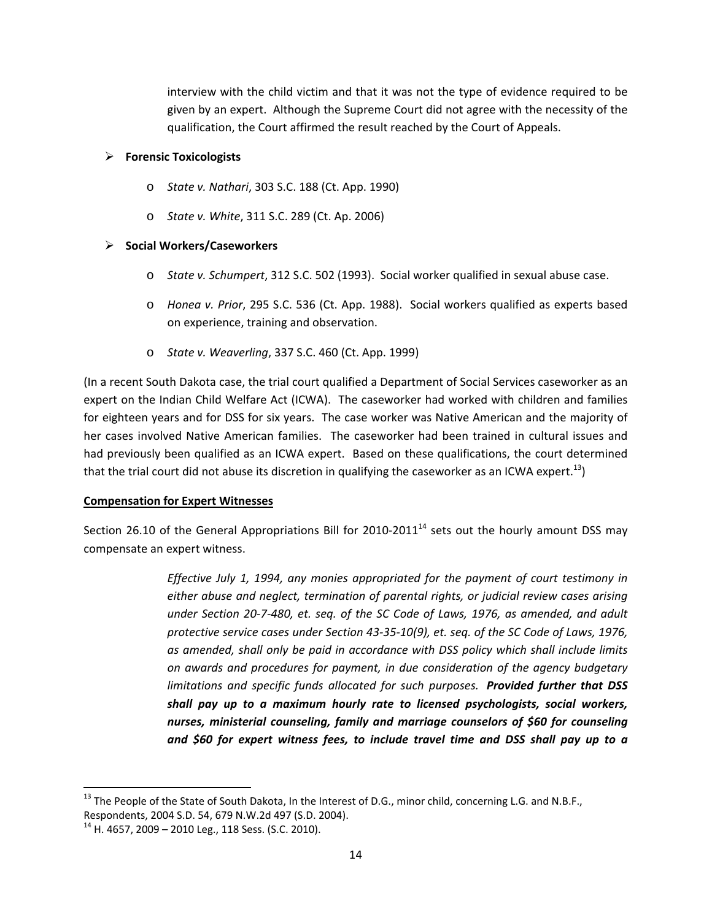interview with the child victim and that it was not the type of evidence required to be given by an expert. Although the Supreme Court did not agree with the necessity of the qualification, the Court affirmed the result reached by the Court of Appeals.

### **Forensic Toxicologists**

- o *State v. Nathari*, 303 S.C. 188 (Ct. App. 1990)
- o *State v. White*, 311 S.C. 289 (Ct. Ap. 2006)

# **Social Workers/Caseworkers**

- o *State v. Schumpert*, 312 S.C. 502 (1993). Social worker qualified in sexual abuse case.
- o *Honea v. Prior*, 295 S.C. 536 (Ct. App. 1988). Social workers qualified as experts based on experience, training and observation.
- o *State v. Weaverling*, 337 S.C. 460 (Ct. App. 1999)

(In a recent South Dakota case, the trial court qualified a Department of Social Services caseworker as an expert on the Indian Child Welfare Act (ICWA). The caseworker had worked with children and families for eighteen years and for DSS for six years. The case worker was Native American and the majority of her cases involved Native American families. The caseworker had been trained in cultural issues and had previously been qualified as an ICWA expert. Based on these qualifications, the court determined that the trial court did not abuse its discretion in qualifying the caseworker as an ICWA expert.<sup>13</sup>)

### **Compensation for Expert Witnesses**

Section 26.10 of the General Appropriations Bill for 2010-2011<sup>14</sup> sets out the hourly amount DSS may compensate an expert witness.

> *Effective July 1, 1994, any monies appropriated for the payment of court testimony in either abuse and neglect, termination of parental rights, or judicial review cases arising under Section 20‐7‐480, et. seq. of the SC Code of Laws, 1976, as amended, and adult protective service cases under Section 43‐35‐10(9), et. seq. of the SC Code of Laws, 1976, as amended, shall only be paid in accordance with DSS policy which shall include limits on awards and procedures for payment, in due consideration of the agency budgetary limitations and specific funds allocated for such purposes. Provided further that DSS shall pay up to a maximum hourly rate to licensed psychologists, social workers, nurses, ministerial counseling, family and marriage counselors of \$60 for counseling and \$60 for expert witness fees, to include travel time and DSS shall pay up to a*

 <sup>13</sup> The People of the State of South Dakota, In the Interest of D.G., minor child, concerning L.G. and N.B.F., Respondents, 2004 S.D. 54, 679 N.W.2d 497 (S.D. 2004).

 $14$  H. 4657, 2009 – 2010 Leg., 118 Sess. (S.C. 2010).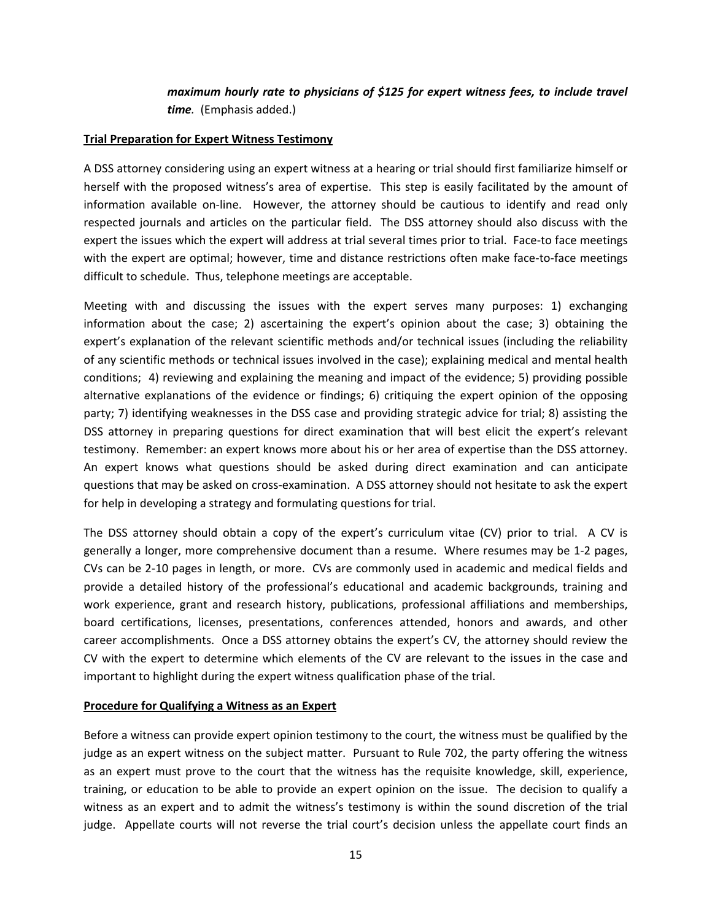# *maximum hourly rate to physicians of \$125 for expert witness fees, to include travel time.* (Emphasis added.)

### **Trial Preparation for Expert Witness Testimony**

A DSS attorney considering using an expert witness at a hearing or trial should first familiarize himself or herself with the proposed witness's area of expertise. This step is easily facilitated by the amount of information available on-line. However, the attorney should be cautious to identify and read only respected journals and articles on the particular field. The DSS attorney should also discuss with the expert the issues which the expert will address at trial several times prior to trial. Face-to face meetings with the expert are optimal; however, time and distance restrictions often make face-to-face meetings difficult to schedule. Thus, telephone meetings are acceptable.

Meeting with and discussing the issues with the expert serves many purposes: 1) exchanging information about the case; 2) ascertaining the expert's opinion about the case; 3) obtaining the expert's explanation of the relevant scientific methods and/or technical issues (including the reliability of any scientific methods or technical issues involved in the case); explaining medical and mental health conditions; 4) reviewing and explaining the meaning and impact of the evidence; 5) providing possible alternative explanations of the evidence or findings; 6) critiquing the expert opinion of the opposing party; 7) identifying weaknesses in the DSS case and providing strategic advice for trial; 8) assisting the DSS attorney in preparing questions for direct examination that will best elicit the expert's relevant testimony. Remember: an expert knows more about his or her area of expertise than the DSS attorney. An expert knows what questions should be asked during direct examination and can anticipate questions that may be asked on cross‐examination. A DSS attorney should not hesitate to ask the expert for help in developing a strategy and formulating questions for trial.

The DSS attorney should obtain a copy of the expert's curriculum vitae (CV) prior to trial. A CV is generally a longer, more comprehensive document than a resume. Where resumes may be 1‐2 pages, CVs can be 2‐10 pages in length, or more. CVs are commonly used in academic and medical fields and provide a detailed history of the professional's educational and academic backgrounds, training and work experience, grant and research history, publications, professional affiliations and memberships, board certifications, licenses, presentations, conferences attended, honors and awards, and other career accomplishments. Once a DSS attorney obtains the expert's CV, the attorney should review the CV with the expert to determine which elements of the CV are relevant to the issues in the case and important to highlight during the expert witness qualification phase of the trial.

### **Procedure for Qualifying a Witness as an Expert**

Before a witness can provide expert opinion testimony to the court, the witness must be qualified by the judge as an expert witness on the subject matter. Pursuant to Rule 702, the party offering the witness as an expert must prove to the court that the witness has the requisite knowledge, skill, experience, training, or education to be able to provide an expert opinion on the issue. The decision to qualify a witness as an expert and to admit the witness's testimony is within the sound discretion of the trial judge. Appellate courts will not reverse the trial court's decision unless the appellate court finds an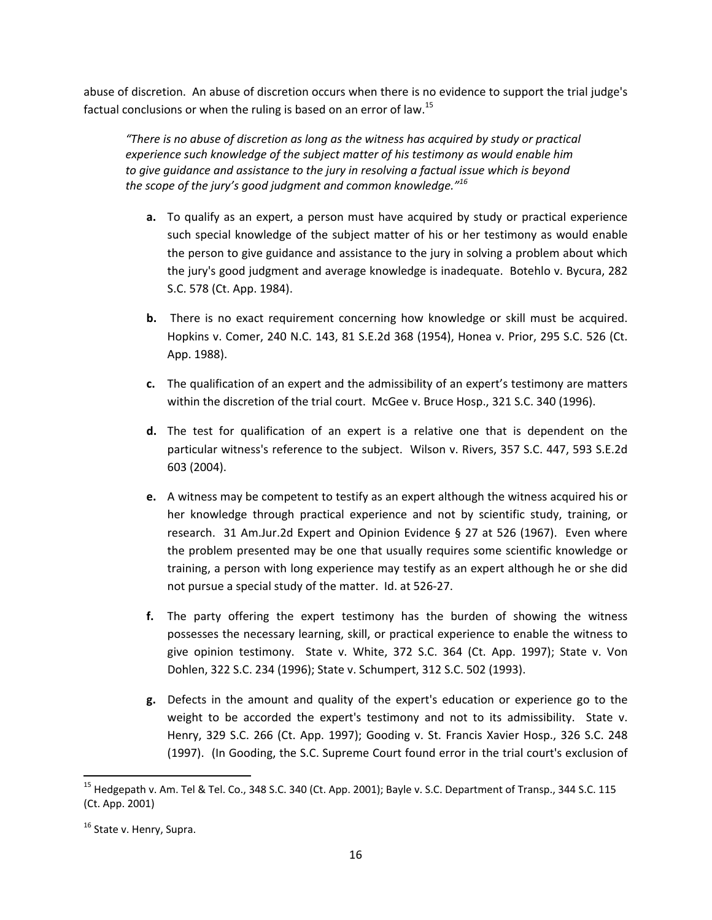abuse of discretion. An abuse of discretion occurs when there is no evidence to support the trial judge's factual conclusions or when the ruling is based on an error of law.<sup>15</sup>

*"There is no abuse of discretion as long as the witness has acquired by study or practical experience such knowledge of the subject matter of his testimony as would enable him to give guidance and assistance to the jury in resolving a factual issue which is beyond the scope of the jury's good judgment and common knowledge."<sup>16</sup>*

- **a.** To qualify as an expert, a person must have acquired by study or practical experience such special knowledge of the subject matter of his or her testimony as would enable the person to give guidance and assistance to the jury in solving a problem about which the jury's good judgment and average knowledge is inadequate. Botehlo v. Bycura, 282 S.C. 578 (Ct. App. 1984).
- **b.** There is no exact requirement concerning how knowledge or skill must be acquired. Hopkins v. Comer, 240 N.C. 143, 81 S.E.2d 368 (1954), Honea v. Prior, 295 S.C. 526 (Ct. App. 1988).
- **c.** The qualification of an expert and the admissibility of an expert's testimony are matters within the discretion of the trial court. McGee v. Bruce Hosp., 321 S.C. 340 (1996).
- **d.** The test for qualification of an expert is a relative one that is dependent on the particular witness's reference to the subject. Wilson v. Rivers, 357 S.C. 447, 593 S.E.2d 603 (2004).
- **e.** A witness may be competent to testify as an expert although the witness acquired his or her knowledge through practical experience and not by scientific study, training, or research. 31 Am.Jur.2d Expert and Opinion Evidence § 27 at 526 (1967). Even where the problem presented may be one that usually requires some scientific knowledge or training, a person with long experience may testify as an expert although he or she did not pursue a special study of the matter. Id. at 526‐27.
- **f.** The party offering the expert testimony has the burden of showing the witness possesses the necessary learning, skill, or practical experience to enable the witness to give opinion testimony. State v. White, 372 S.C. 364 (Ct. App. 1997); State v. Von Dohlen, 322 S.C. 234 (1996); State v. Schumpert, 312 S.C. 502 (1993).
- **g.** Defects in the amount and quality of the expert's education or experience go to the weight to be accorded the expert's testimony and not to its admissibility. State v. Henry, 329 S.C. 266 (Ct. App. 1997); Gooding v. St. Francis Xavier Hosp., 326 S.C. 248 (1997). (In Gooding, the S.C. Supreme Court found error in the trial court's exclusion of

<sup>&</sup>lt;sup>15</sup> Hedgepath v. Am. Tel & Tel. Co., 348 S.C. 340 (Ct. App. 2001); Bayle v. S.C. Department of Transp., 344 S.C. 115 (Ct. App. 2001)

 $16$  State v. Henry, Supra.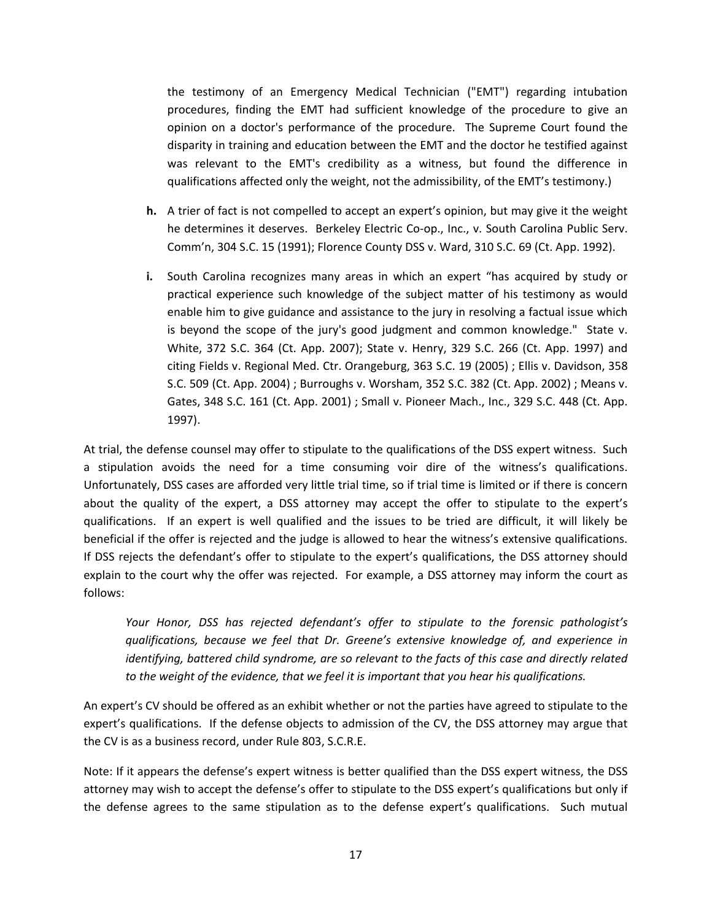the testimony of an Emergency Medical Technician ("EMT") regarding intubation procedures, finding the EMT had sufficient knowledge of the procedure to give an opinion on a doctor's performance of the procedure. The Supreme Court found the disparity in training and education between the EMT and the doctor he testified against was relevant to the EMT's credibility as a witness, but found the difference in qualifications affected only the weight, not the admissibility, of the EMT's testimony.)

- **h.** A trier of fact is not compelled to accept an expert's opinion, but may give it the weight he determines it deserves. Berkeley Electric Co-op., Inc., v. South Carolina Public Serv. Comm'n, 304 S.C. 15 (1991); Florence County DSS v. Ward, 310 S.C. 69 (Ct. App. 1992).
- **i.** South Carolina recognizes many areas in which an expert "has acquired by study or practical experience such knowledge of the subject matter of his testimony as would enable him to give guidance and assistance to the jury in resolving a factual issue which is beyond the scope of the jury's good judgment and common knowledge." State v. White, 372 S.C. 364 (Ct. App. 2007); State v. Henry, 329 S.C. 266 (Ct. App. 1997) and citing Fields v. Regional Med. Ctr. Orangeburg, 363 S.C. 19 (2005) ; Ellis v. Davidson, 358 S.C. 509 (Ct. App. 2004) ; Burroughs v. Worsham, 352 S.C. 382 (Ct. App. 2002) ; Means v. Gates, 348 S.C. 161 (Ct. App. 2001) ; Small v. Pioneer Mach., Inc., 329 S.C. 448 (Ct. App. 1997).

At trial, the defense counsel may offer to stipulate to the qualifications of the DSS expert witness. Such a stipulation avoids the need for a time consuming voir dire of the witness's qualifications. Unfortunately, DSS cases are afforded very little trial time, so if trial time is limited or if there is concern about the quality of the expert, a DSS attorney may accept the offer to stipulate to the expert's qualifications. If an expert is well qualified and the issues to be tried are difficult, it will likely be beneficial if the offer is rejected and the judge is allowed to hear the witness's extensive qualifications. If DSS rejects the defendant's offer to stipulate to the expert's qualifications, the DSS attorney should explain to the court why the offer was rejected. For example, a DSS attorney may inform the court as follows:

*Your Honor, DSS has rejected defendant's offer to stipulate to the forensic pathologist's qualifications, because we feel that Dr. Greene's extensive knowledge of, and experience in identifying, battered child syndrome, are so relevant to the facts of this case and directly related to the weight of the evidence, that we feel it is important that you hear his qualifications.*

An expert's CV should be offered as an exhibit whether or not the parties have agreed to stipulate to the expert's qualifications. If the defense objects to admission of the CV, the DSS attorney may argue that the CV is as a business record, under Rule 803, S.C.R.E.

Note: If it appears the defense's expert witness is better qualified than the DSS expert witness, the DSS attorney may wish to accept the defense's offer to stipulate to the DSS expert's qualifications but only if the defense agrees to the same stipulation as to the defense expert's qualifications. Such mutual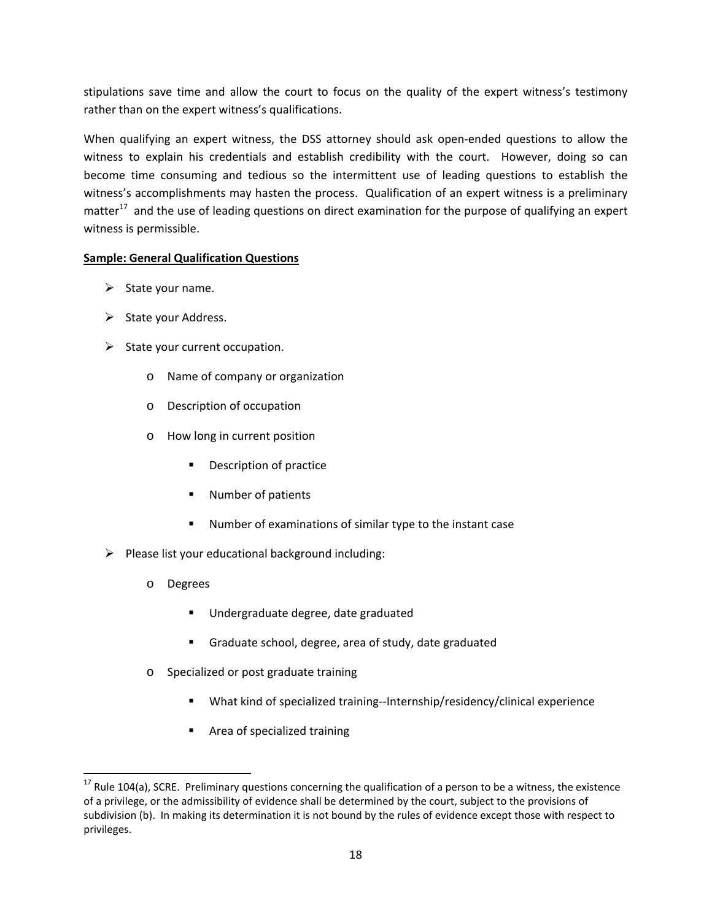stipulations save time and allow the court to focus on the quality of the expert witness's testimony rather than on the expert witness's qualifications.

When qualifying an expert witness, the DSS attorney should ask open-ended questions to allow the witness to explain his credentials and establish credibility with the court. However, doing so can become time consuming and tedious so the intermittent use of leading questions to establish the witness's accomplishments may hasten the process. Qualification of an expert witness is a preliminary matter $17$  and the use of leading questions on direct examination for the purpose of qualifying an expert witness is permissible.

# **Sample: General Qualification Questions**

- $\triangleright$  State your name.
- $\triangleright$  State your Address.
- $\triangleright$  State your current occupation.
	- o Name of company or organization
	- o Description of occupation
	- o How long in current position
		- **•** Description of practice
		- Number of patients
		- Number of examinations of similar type to the instant case
- $\triangleright$  Please list your educational background including:
	- o Degrees

- Undergraduate degree, date graduated
- Graduate school, degree, area of study, date graduated
- o Specialized or post graduate training
	- What kind of specialized training--Internship/residency/clinical experience
	- Area of specialized training

 $17$  Rule 104(a), SCRE. Preliminary questions concerning the qualification of a person to be a witness, the existence of a privilege, or the admissibility of evidence shall be determined by the court, subject to the provisions of subdivision (b). In making its determination it is not bound by the rules of evidence except those with respect to privileges.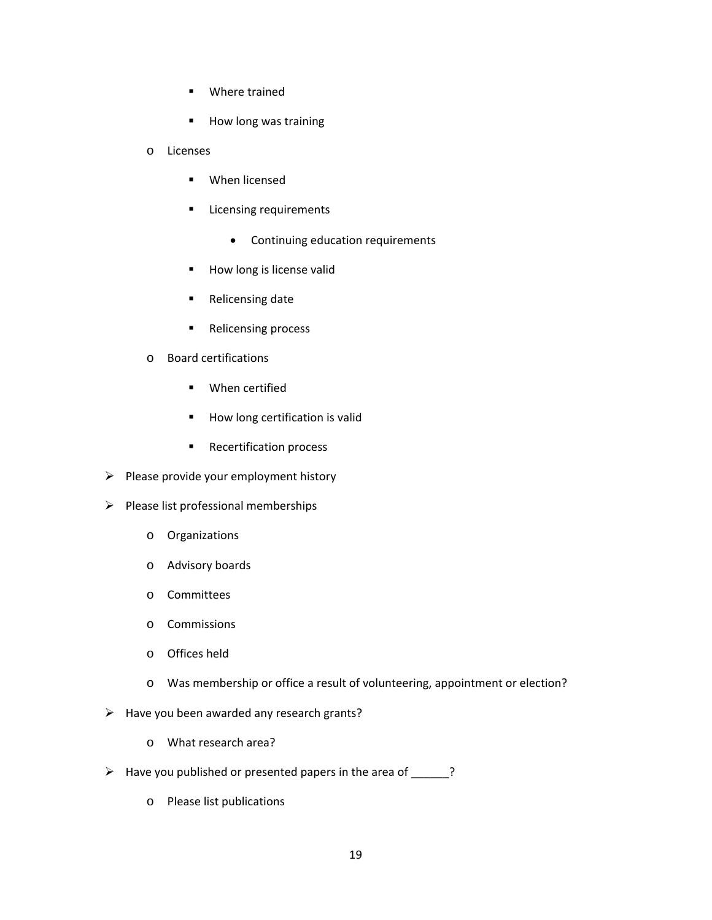- **•** Where trained
- How long was training
- o Licenses
	- **When licensed**
	- **E** Licensing requirements
		- Continuing education requirements
	- **How long is license valid**
	- Relicensing date
	- **Relicensing process**
- o Board certifications
	- **•** When certified
	- **How long certification is valid**
	- **Recertification process**
- $\triangleright$  Please provide your employment history
- $\triangleright$  Please list professional memberships
	- o Organizations
	- o Advisory boards
	- o Committees
	- o Commissions
	- o Offices held
	- o Was membership or office a result of volunteering, appointment or election?
- $\triangleright$  Have you been awarded any research grants?
	- o What research area?
- $\triangleright$  Have you published or presented papers in the area of \_\_\_\_\_?
	- o Please list publications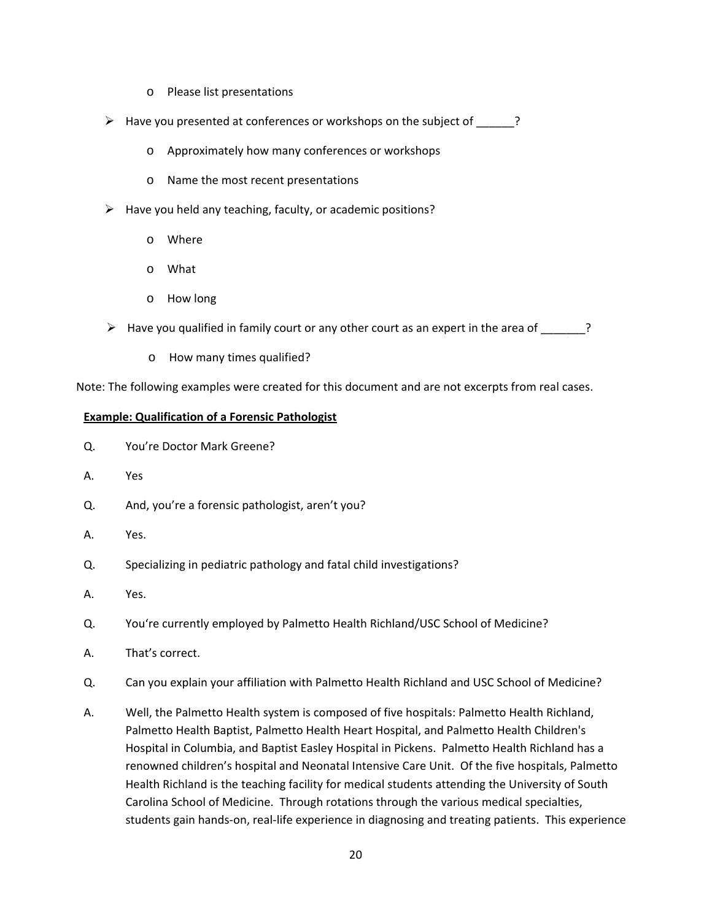- o Please list presentations
- $\triangleright$  Have you presented at conferences or workshops on the subject of  $\blacksquare$ ?
	- o Approximately how many conferences or workshops
	- o Name the most recent presentations
- $\triangleright$  Have you held any teaching, faculty, or academic positions?
	- o Where
	- o What
	- o How long
- $\triangleright$  Have you qualified in family court or any other court as an expert in the area of  $\triangleright$ ?
	- o How many times qualified?

Note: The following examples were created for this document and are not excerpts from real cases.

#### **Example: Qualification of a Forensic Pathologist**

- Q. You're Doctor Mark Greene?
- A. Yes
- Q. And, you're a forensic pathologist, aren't you?
- A. Yes.
- Q. Specializing in pediatric pathology and fatal child investigations?
- A. Yes.
- Q. You're currently employed by Palmetto Health Richland/USC School of Medicine?
- A. That's correct.
- Q. Can you explain your affiliation with Palmetto Health Richland and USC School of Medicine?
- A. Well, the Palmetto Health system is composed of five hospitals: Palmetto Health Richland, Palmetto Health Baptist, Palmetto Health Heart Hospital, and Palmetto Health Children's Hospital in Columbia, and Baptist Easley Hospital in Pickens. Palmetto Health Richland has a renowned children's hospital and Neonatal Intensive Care Unit. Of the five hospitals, Palmetto Health Richland is the teaching facility for medical students attending the University of South Carolina School of Medicine. Through rotations through the various medical specialties, students gain hands‐on, real‐life experience in diagnosing and treating patients. This experience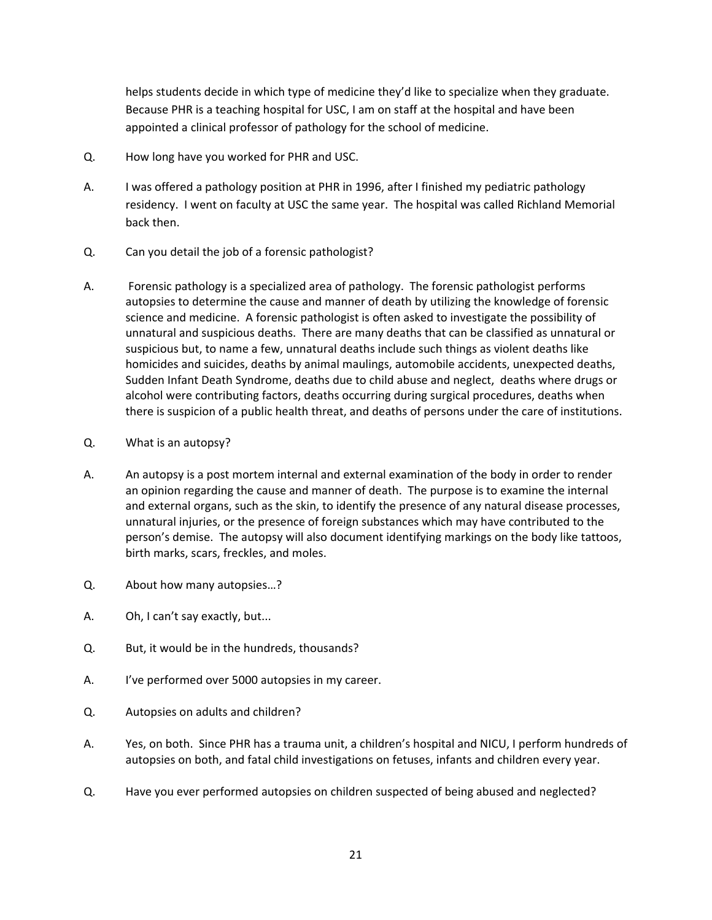helps students decide in which type of medicine they'd like to specialize when they graduate. Because PHR is a teaching hospital for USC, I am on staff at the hospital and have been appointed a clinical professor of pathology for the school of medicine.

- Q. How long have you worked for PHR and USC.
- A. I was offered a pathology position at PHR in 1996, after I finished my pediatric pathology residency. I went on faculty at USC the same year. The hospital was called Richland Memorial back then.
- Q. Can you detail the job of a forensic pathologist?
- A. Forensic pathology is a specialized area of pathology. The forensic pathologist performs autopsies to determine the cause and manner of death by utilizing the knowledge of forensic science and medicine. A forensic pathologist is often asked to investigate the possibility of unnatural and suspicious deaths. There are many deaths that can be classified as unnatural or suspicious but, to name a few, unnatural deaths include such things as violent deaths like homicides and suicides, deaths by animal maulings, automobile accidents, unexpected deaths, Sudden Infant Death Syndrome, deaths due to child abuse and neglect, deaths where drugs or alcohol were contributing factors, deaths occurring during surgical procedures, deaths when there is suspicion of a public health threat, and deaths of persons under the care of institutions.
- Q. What is an autopsy?
- A. An autopsy is a post mortem internal and external examination of the body in order to render an opinion regarding the cause and manner of death. The purpose is to examine the internal and external organs, such as the skin, to identify the presence of any natural disease processes, unnatural injuries, or the presence of foreign substances which may have contributed to the person's demise. The autopsy will also document identifying markings on the body like tattoos, birth marks, scars, freckles, and moles.
- Q. About how many autopsies…?
- A. Oh, I can't say exactly, but...
- Q. But, it would be in the hundreds, thousands?
- A. I've performed over 5000 autopsies in my career.
- Q. Autopsies on adults and children?
- A. Yes, on both. Since PHR has a trauma unit, a children's hospital and NICU, I perform hundreds of autopsies on both, and fatal child investigations on fetuses, infants and children every year.
- Q. Have you ever performed autopsies on children suspected of being abused and neglected?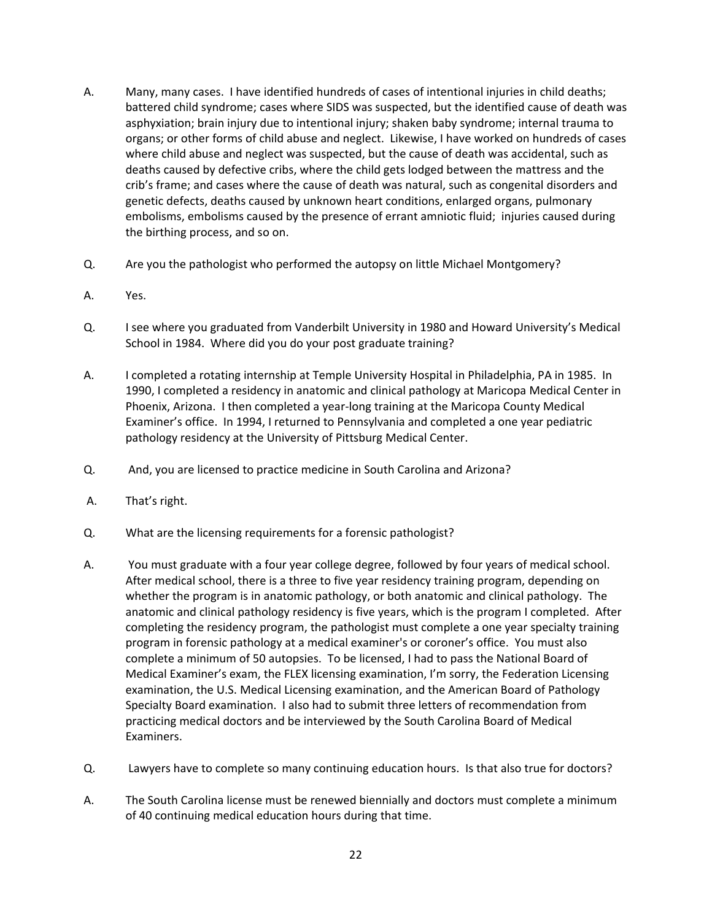- A. Many, many cases. I have identified hundreds of cases of intentional injuries in child deaths; battered child syndrome; cases where SIDS was suspected, but the identified cause of death was asphyxiation; brain injury due to intentional injury; shaken baby syndrome; internal trauma to organs; or other forms of child abuse and neglect. Likewise, I have worked on hundreds of cases where child abuse and neglect was suspected, but the cause of death was accidental, such as deaths caused by defective cribs, where the child gets lodged between the mattress and the crib's frame; and cases where the cause of death was natural, such as congenital disorders and genetic defects, deaths caused by unknown heart conditions, enlarged organs, pulmonary embolisms, embolisms caused by the presence of errant amniotic fluid; injuries caused during the birthing process, and so on.
- Q. Are you the pathologist who performed the autopsy on little Michael Montgomery?
- A. Yes.
- Q. I see where you graduated from Vanderbilt University in 1980 and Howard University's Medical School in 1984. Where did you do your post graduate training?
- A. I completed a rotating internship at Temple University Hospital in Philadelphia, PA in 1985. In 1990, I completed a residency in anatomic and clinical pathology at Maricopa Medical Center in Phoenix, Arizona. I then completed a year‐long training at the Maricopa County Medical Examiner's office. In 1994, I returned to Pennsylvania and completed a one year pediatric pathology residency at the University of Pittsburg Medical Center.
- Q. And, you are licensed to practice medicine in South Carolina and Arizona?
- A. That's right.
- Q. What are the licensing requirements for a forensic pathologist?
- A. You must graduate with a four year college degree, followed by four years of medical school. After medical school, there is a three to five year residency training program, depending on whether the program is in anatomic pathology, or both anatomic and clinical pathology. The anatomic and clinical pathology residency is five years, which is the program I completed. After completing the residency program, the pathologist must complete a one year specialty training program in forensic pathology at a medical examiner's or coroner's office. You must also complete a minimum of 50 autopsies. To be licensed, I had to pass the National Board of Medical Examiner's exam, the FLEX licensing examination, I'm sorry, the Federation Licensing examination, the U.S. Medical Licensing examination, and the American Board of Pathology Specialty Board examination. I also had to submit three letters of recommendation from practicing medical doctors and be interviewed by the South Carolina Board of Medical Examiners.
- Q. Lawyers have to complete so many continuing education hours. Is that also true for doctors?
- A. The South Carolina license must be renewed biennially and doctors must complete a minimum of 40 continuing medical education hours during that time.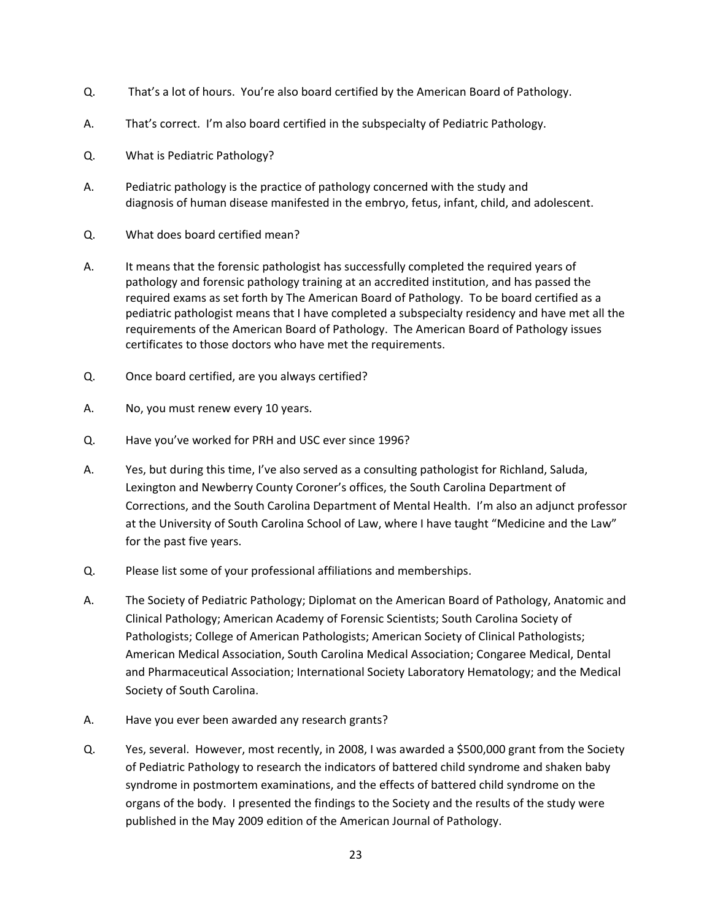- Q. That's a lot of hours. You're also board certified by the American Board of Pathology.
- A. That's correct. I'm also board certified in the subspecialty of Pediatric Pathology.
- Q. What is Pediatric Pathology?
- A. Pediatric pathology is the practice of pathology concerned with the study and diagnosis of human disease manifested in the embryo, fetus, infant, child, and adolescent.
- Q. What does board certified mean?
- A. It means that the forensic pathologist has successfully completed the required years of pathology and forensic pathology training at an accredited institution, and has passed the required exams as set forth by The American Board of Pathology. To be board certified as a pediatric pathologist means that I have completed a subspecialty residency and have met all the requirements of the American Board of Pathology. The American Board of Pathology issues certificates to those doctors who have met the requirements.
- Q. Once board certified, are you always certified?
- A. No, you must renew every 10 years.
- Q. Have you've worked for PRH and USC ever since 1996?
- A. Yes, but during this time, I've also served as a consulting pathologist for Richland, Saluda, Lexington and Newberry County Coroner's offices, the South Carolina Department of Corrections, and the South Carolina Department of Mental Health. I'm also an adjunct professor at the University of South Carolina School of Law, where I have taught "Medicine and the Law" for the past five years.
- Q. Please list some of your professional affiliations and memberships.
- A. The Society of Pediatric Pathology; Diplomat on the American Board of Pathology, Anatomic and Clinical Pathology; American Academy of Forensic Scientists; South Carolina Society of Pathologists; College of American Pathologists; American Society of Clinical Pathologists; American Medical Association, South Carolina Medical Association; Congaree Medical, Dental and Pharmaceutical Association; International Society Laboratory Hematology; and the Medical Society of South Carolina.
- A. Have you ever been awarded any research grants?
- Q. Yes, several. However, most recently, in 2008, I was awarded a \$500,000 grant from the Society of Pediatric Pathology to research the indicators of battered child syndrome and shaken baby syndrome in postmortem examinations, and the effects of battered child syndrome on the organs of the body. I presented the findings to the Society and the results of the study were published in the May 2009 edition of the American Journal of Pathology.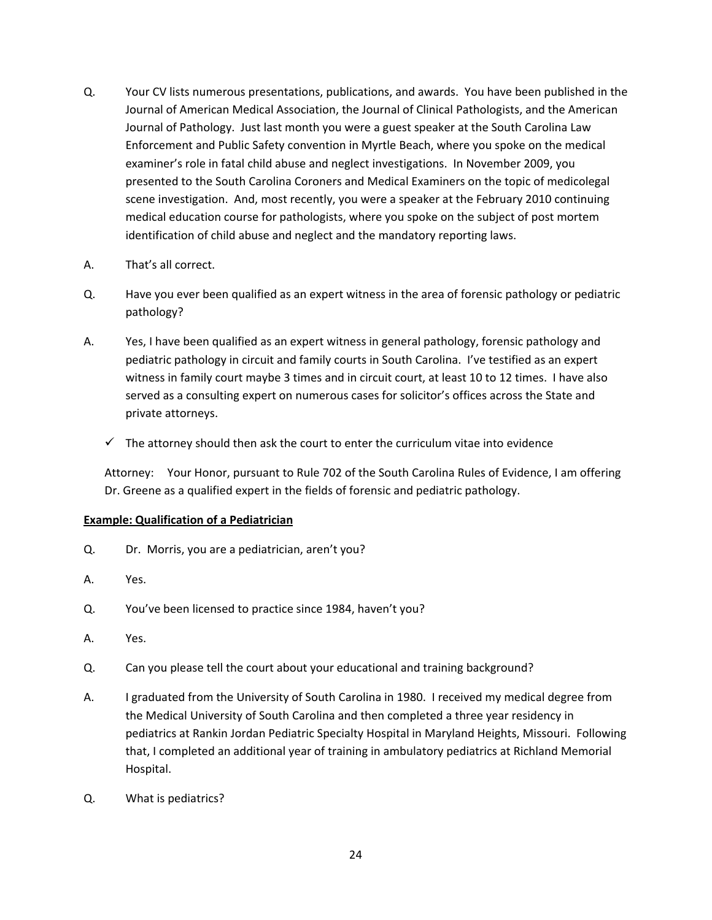- Q. Your CV lists numerous presentations, publications, and awards. You have been published in the Journal of American Medical Association, the Journal of Clinical Pathologists, and the American Journal of Pathology. Just last month you were a guest speaker at the South Carolina Law Enforcement and Public Safety convention in Myrtle Beach, where you spoke on the medical examiner's role in fatal child abuse and neglect investigations. In November 2009, you presented to the South Carolina Coroners and Medical Examiners on the topic of medicolegal scene investigation. And, most recently, you were a speaker at the February 2010 continuing medical education course for pathologists, where you spoke on the subject of post mortem identification of child abuse and neglect and the mandatory reporting laws.
- A. That's all correct.
- Q. Have you ever been qualified as an expert witness in the area of forensic pathology or pediatric pathology?
- A. Yes, I have been qualified as an expert witness in general pathology, forensic pathology and pediatric pathology in circuit and family courts in South Carolina. I've testified as an expert witness in family court maybe 3 times and in circuit court, at least 10 to 12 times. I have also served as a consulting expert on numerous cases for solicitor's offices across the State and private attorneys.
	- $\checkmark$  The attorney should then ask the court to enter the curriculum vitae into evidence

Attorney: Your Honor, pursuant to Rule 702 of the South Carolina Rules of Evidence, I am offering Dr. Greene as a qualified expert in the fields of forensic and pediatric pathology.

# **Example: Qualification of a Pediatrician**

- Q. Dr. Morris, you are a pediatrician, aren't you?
- A. Yes.
- Q. You've been licensed to practice since 1984, haven't you?
- A. Yes.
- Q. Can you please tell the court about your educational and training background?
- A. I graduated from the University of South Carolina in 1980. I received my medical degree from the Medical University of South Carolina and then completed a three year residency in pediatrics at Rankin Jordan Pediatric Specialty Hospital in Maryland Heights, Missouri. Following that, I completed an additional year of training in ambulatory pediatrics at Richland Memorial Hospital.
- Q. What is pediatrics?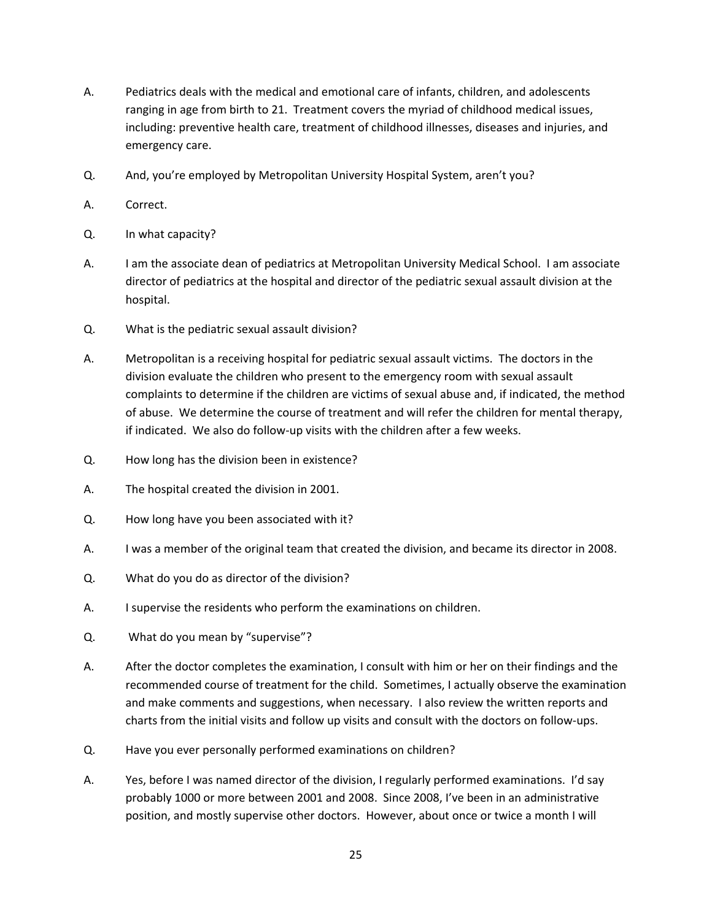- A. Pediatrics deals with the medical and emotional care of infants, children, and adolescents ranging in age from birth to 21. Treatment covers the myriad of childhood medical issues, including: preventive health care, treatment of childhood illnesses, diseases and injuries, and emergency care.
- Q. And, you're employed by Metropolitan University Hospital System, aren't you?
- A. Correct.
- Q. In what capacity?
- A. I am the associate dean of pediatrics at Metropolitan University Medical School. I am associate director of pediatrics at the hospital and director of the pediatric sexual assault division at the hospital.
- Q. What is the pediatric sexual assault division?
- A. Metropolitan is a receiving hospital for pediatric sexual assault victims. The doctors in the division evaluate the children who present to the emergency room with sexual assault complaints to determine if the children are victims of sexual abuse and, if indicated, the method of abuse. We determine the course of treatment and will refer the children for mental therapy, if indicated. We also do follow‐up visits with the children after a few weeks.
- Q. How long has the division been in existence?
- A. The hospital created the division in 2001.
- Q. How long have you been associated with it?
- A. I was a member of the original team that created the division, and became its director in 2008.
- Q. What do you do as director of the division?
- A. I supervise the residents who perform the examinations on children.
- Q. What do you mean by "supervise"?
- A. After the doctor completes the examination, I consult with him or her on their findings and the recommended course of treatment for the child. Sometimes, I actually observe the examination and make comments and suggestions, when necessary. I also review the written reports and charts from the initial visits and follow up visits and consult with the doctors on follow‐ups.
- Q. Have you ever personally performed examinations on children?
- A. Yes, before I was named director of the division, I regularly performed examinations. I'd say probably 1000 or more between 2001 and 2008. Since 2008, I've been in an administrative position, and mostly supervise other doctors. However, about once or twice a month I will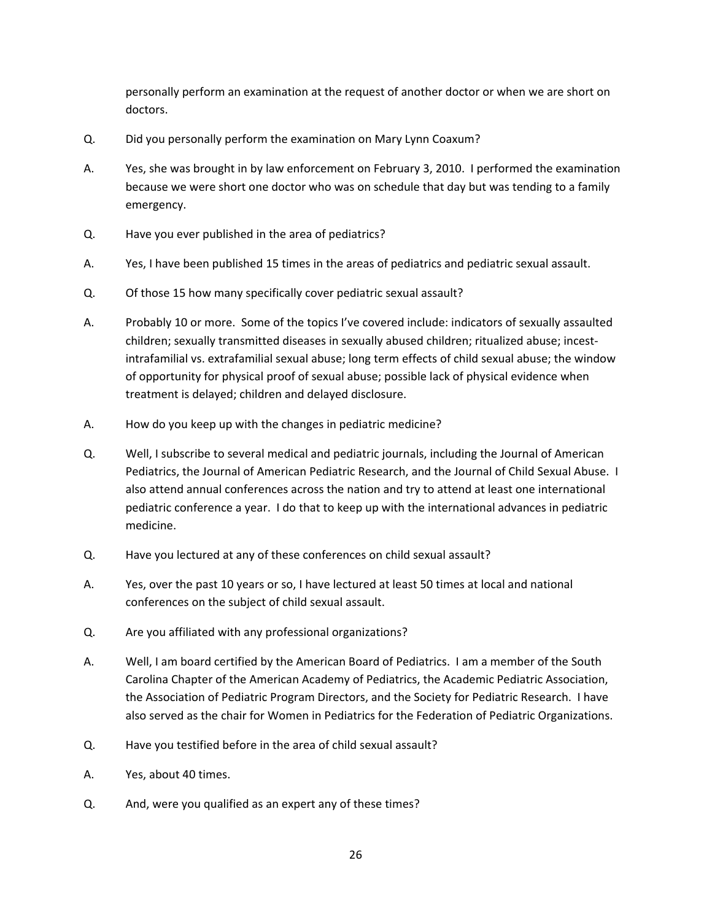personally perform an examination at the request of another doctor or when we are short on doctors.

- Q. Did you personally perform the examination on Mary Lynn Coaxum?
- A. Yes, she was brought in by law enforcement on February 3, 2010. I performed the examination because we were short one doctor who was on schedule that day but was tending to a family emergency.
- Q. Have you ever published in the area of pediatrics?
- A. Yes, I have been published 15 times in the areas of pediatrics and pediatric sexual assault.
- Q. Of those 15 how many specifically cover pediatric sexual assault?
- A. Probably 10 or more. Some of the topics I've covered include: indicators of sexually assaulted children; sexually transmitted diseases in sexually abused children; ritualized abuse; incest‐ intrafamilial vs. extrafamilial sexual abuse; long term effects of child sexual abuse; the window of opportunity for physical proof of sexual abuse; possible lack of physical evidence when treatment is delayed; children and delayed disclosure.
- A. How do you keep up with the changes in pediatric medicine?
- Q. Well, I subscribe to several medical and pediatric journals, including the Journal of American Pediatrics, the Journal of American Pediatric Research, and the Journal of Child Sexual Abuse. I also attend annual conferences across the nation and try to attend at least one international pediatric conference a year. I do that to keep up with the international advances in pediatric medicine.
- Q. Have you lectured at any of these conferences on child sexual assault?
- A. Yes, over the past 10 years or so, I have lectured at least 50 times at local and national conferences on the subject of child sexual assault.
- Q. Are you affiliated with any professional organizations?
- A. Well, I am board certified by the American Board of Pediatrics. I am a member of the South Carolina Chapter of the American Academy of Pediatrics, the Academic Pediatric Association, the Association of Pediatric Program Directors, and the Society for Pediatric Research. I have also served as the chair for Women in Pediatrics for the Federation of Pediatric Organizations.
- Q. Have you testified before in the area of child sexual assault?
- A. Yes, about 40 times.
- Q. And, were you qualified as an expert any of these times?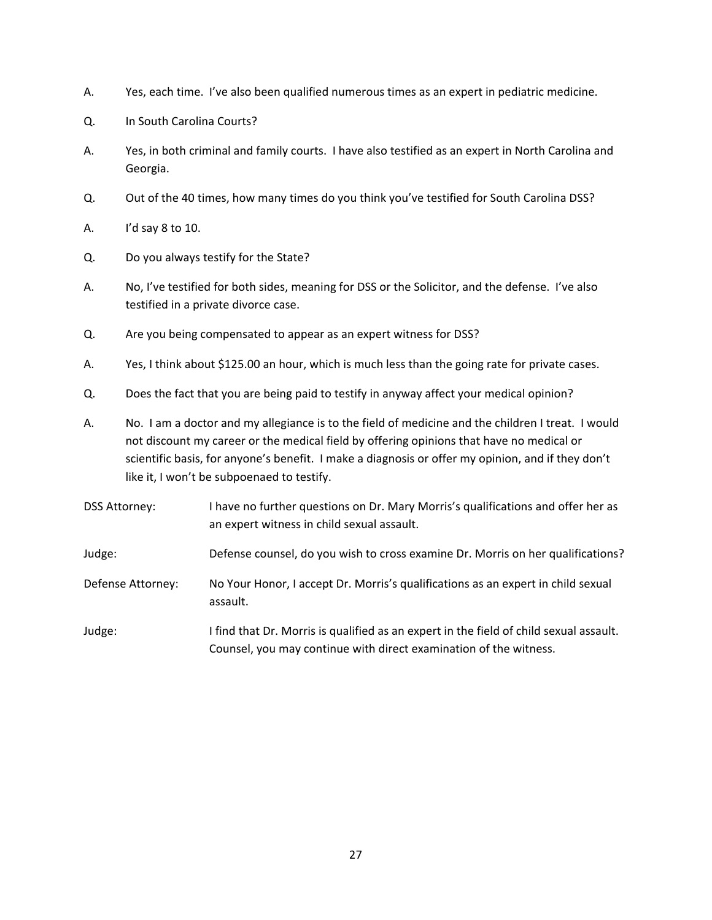- A. Yes, each time. I've also been qualified numerous times as an expert in pediatric medicine.
- Q. In South Carolina Courts?
- A. Yes, in both criminal and family courts. I have also testified as an expert in North Carolina and Georgia.
- Q. Out of the 40 times, how many times do you think you've testified for South Carolina DSS?
- A. I'd say 8 to 10.
- Q. Do you always testify for the State?
- A. No, I've testified for both sides, meaning for DSS or the Solicitor, and the defense. I've also testified in a private divorce case.
- Q. Are you being compensated to appear as an expert witness for DSS?
- A. Yes, I think about \$125.00 an hour, which is much less than the going rate for private cases.
- Q. Does the fact that you are being paid to testify in anyway affect your medical opinion?
- A. No. I am a doctor and my allegiance is to the field of medicine and the children I treat. I would not discount my career or the medical field by offering opinions that have no medical or scientific basis, for anyone's benefit. I make a diagnosis or offer my opinion, and if they don't like it, I won't be subpoenaed to testify.

| <b>DSS Attorney:</b> | I have no further questions on Dr. Mary Morris's qualifications and offer her as<br>an expert witness in child sexual assault.                              |
|----------------------|-------------------------------------------------------------------------------------------------------------------------------------------------------------|
| Judge:               | Defense counsel, do you wish to cross examine Dr. Morris on her qualifications?                                                                             |
| Defense Attorney:    | No Your Honor, I accept Dr. Morris's qualifications as an expert in child sexual<br>assault.                                                                |
| Judge:               | I find that Dr. Morris is qualified as an expert in the field of child sexual assault.<br>Counsel, you may continue with direct examination of the witness. |